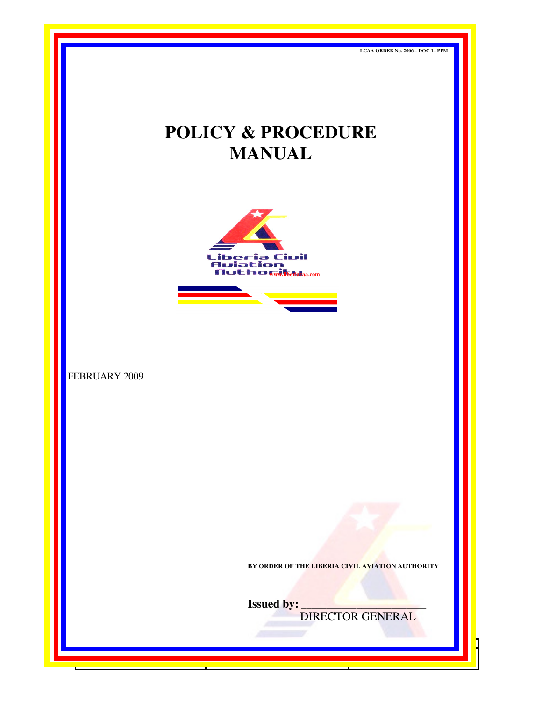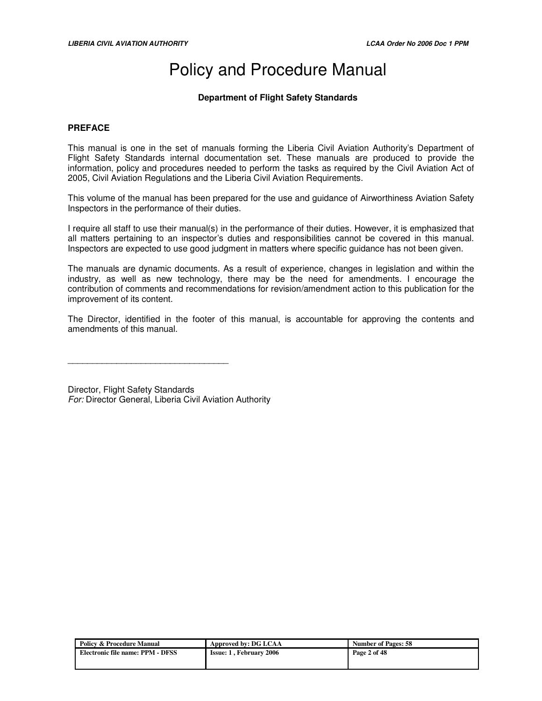# Policy and Procedure Manual

# **Department of Flight Safety Standards**

## **PREFACE**

This manual is one in the set of manuals forming the Liberia Civil Aviation Authority's Department of Flight Safety Standards internal documentation set. These manuals are produced to provide the information, policy and procedures needed to perform the tasks as required by the Civil Aviation Act of 2005, Civil Aviation Regulations and the Liberia Civil Aviation Requirements.

This volume of the manual has been prepared for the use and guidance of Airworthiness Aviation Safety Inspectors in the performance of their duties.

I require all staff to use their manual(s) in the performance of their duties. However, it is emphasized that all matters pertaining to an inspector's duties and responsibilities cannot be covered in this manual. Inspectors are expected to use good judgment in matters where specific guidance has not been given.

The manuals are dynamic documents. As a result of experience, changes in legislation and within the industry, as well as new technology, there may be the need for amendments. I encourage the contribution of comments and recommendations for revision/amendment action to this publication for the improvement of its content.

The Director, identified in the footer of this manual, is accountable for approving the contents and amendments of this manual.

Director, Flight Safety Standards For: Director General, Liberia Civil Aviation Authority

 $\overline{\phantom{a}}$  , and the set of the set of the set of the set of the set of the set of the set of the set of the set of the set of the set of the set of the set of the set of the set of the set of the set of the set of the s

| Policy & Procedure Manual        | Approved by: DG LCAA           | <b>Number of Pages: 58</b> |
|----------------------------------|--------------------------------|----------------------------|
| Electronic file name: PPM - DFSS | <b>Issue: 1. February 2006</b> | Page 2 of 48               |
|                                  |                                |                            |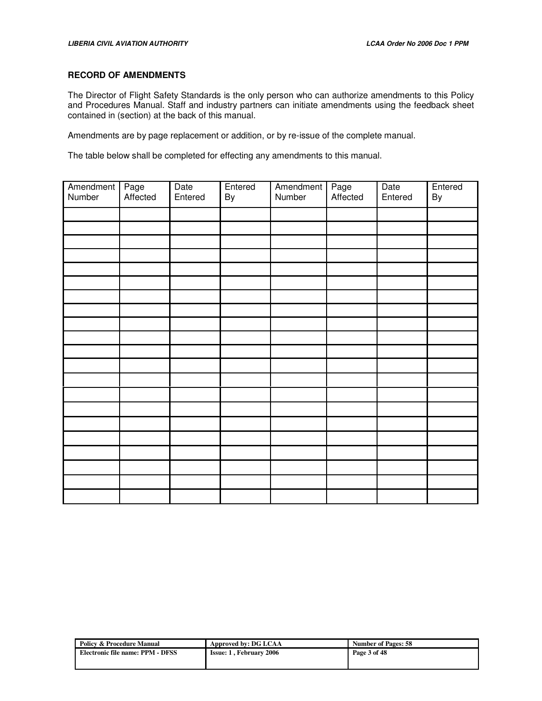## **RECORD OF AMENDMENTS**

The Director of Flight Safety Standards is the only person who can authorize amendments to this Policy and Procedures Manual. Staff and industry partners can initiate amendments using the feedback sheet contained in (section) at the back of this manual.

Amendments are by page replacement or addition, or by re-issue of the complete manual.

The table below shall be completed for effecting any amendments to this manual.

| Amendment<br>Number | Page<br>Affected | Date<br>Entered | Entered<br>By | Amendment<br>Number | Page<br>Affected | Date<br>Entered | Entered<br>By |
|---------------------|------------------|-----------------|---------------|---------------------|------------------|-----------------|---------------|
|                     |                  |                 |               |                     |                  |                 |               |
|                     |                  |                 |               |                     |                  |                 |               |
|                     |                  |                 |               |                     |                  |                 |               |
|                     |                  |                 |               |                     |                  |                 |               |
|                     |                  |                 |               |                     |                  |                 |               |
|                     |                  |                 |               |                     |                  |                 |               |
|                     |                  |                 |               |                     |                  |                 |               |
|                     |                  |                 |               |                     |                  |                 |               |
|                     |                  |                 |               |                     |                  |                 |               |
|                     |                  |                 |               |                     |                  |                 |               |
|                     |                  |                 |               |                     |                  |                 |               |
|                     |                  |                 |               |                     |                  |                 |               |
|                     |                  |                 |               |                     |                  |                 |               |
|                     |                  |                 |               |                     |                  |                 |               |
|                     |                  |                 |               |                     |                  |                 |               |
|                     |                  |                 |               |                     |                  |                 |               |
|                     |                  |                 |               |                     |                  |                 |               |
|                     |                  |                 |               |                     |                  |                 |               |
|                     |                  |                 |               |                     |                  |                 |               |
|                     |                  |                 |               |                     |                  |                 |               |
|                     |                  |                 |               |                     |                  |                 |               |

| Policy & Procedure Manual        | Approved by: DG LCAA           | <b>Number of Pages: 58</b> |
|----------------------------------|--------------------------------|----------------------------|
| Electronic file name: PPM - DFSS | <b>Issue: 1. February 2006</b> | Page 3 of 48               |
|                                  |                                |                            |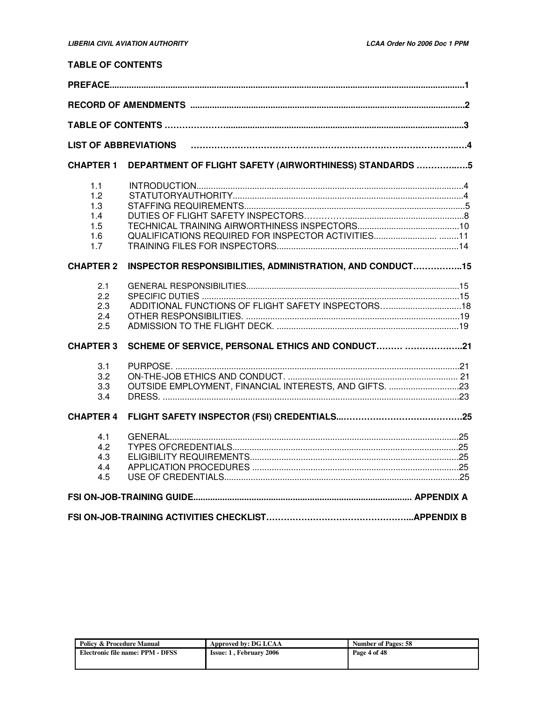# **TABLE OF CONTENTS**

| <b>CHAPTER 1</b>                              | DEPARTMENT OF FLIGHT SAFETY (AIRWORTHINESS) STANDARDS 5   |  |  |  |  |
|-----------------------------------------------|-----------------------------------------------------------|--|--|--|--|
| 1.1<br>1.2<br>1.3<br>1.4<br>1.5<br>1.6<br>1.7 |                                                           |  |  |  |  |
| <b>CHAPTER 2</b>                              | INSPECTOR RESPONSIBILITIES, ADMINISTRATION, AND CONDUCT15 |  |  |  |  |
| 2.1<br>2.2<br>2.3<br>2.4<br>2.5               | ADDITIONAL FUNCTIONS OF FLIGHT SAFETY INSPECTORS 18       |  |  |  |  |
| <b>CHAPTER 3</b>                              | SCHEME OF SERVICE, PERSONAL ETHICS AND CONDUCT 21         |  |  |  |  |
| 3.1<br>3.2<br>3.3<br>3.4                      | OUTSIDE EMPLOYMENT, FINANCIAL INTERESTS, AND GIFTS. 23    |  |  |  |  |
| <b>CHAPTER 4</b>                              |                                                           |  |  |  |  |
| 4.1<br>4.2<br>4.3<br>4.4<br>4.5               |                                                           |  |  |  |  |
|                                               |                                                           |  |  |  |  |
|                                               |                                                           |  |  |  |  |

| <b>Policy &amp; Procedure Manual</b> | Approved by: DG LCAA           | <b>Number of Pages: 58</b> |
|--------------------------------------|--------------------------------|----------------------------|
| Electronic file name: PPM - DFSS     | <b>Issue: 1, February 2006</b> | Page 4 of 48               |
|                                      |                                |                            |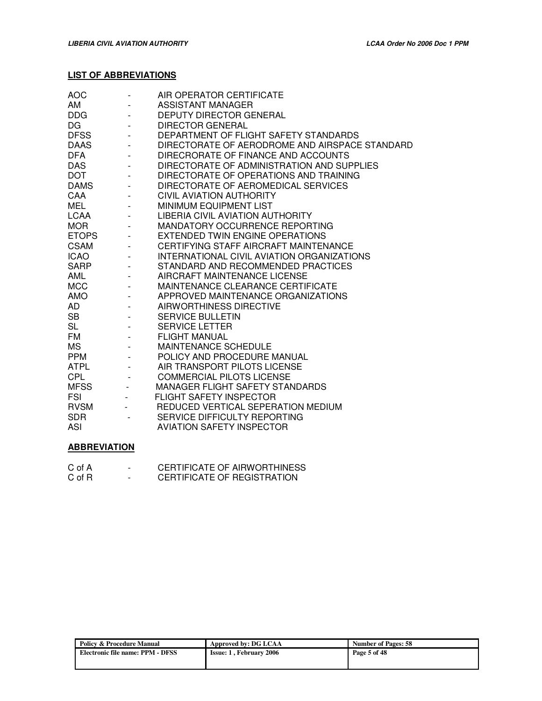# **LIST OF ABBREVIATIONS**

| <b>AOC</b>   |                          | AIR OPERATOR CERTIFICATE                       |
|--------------|--------------------------|------------------------------------------------|
| AM           |                          | ASSISTANT MANAGER                              |
| <b>DDG</b>   |                          | <b>DEPUTY DIRECTOR GENERAL</b>                 |
| <b>DG</b>    |                          | <b>DIRECTOR GENERAL</b>                        |
| <b>DFSS</b>  |                          | DEPARTMENT OF FLIGHT SAFETY STANDARDS          |
| <b>DAAS</b>  |                          | DIRECTORATE OF AERODROME AND AIRSPACE STANDARD |
| <b>DFA</b>   |                          | DIRECRORATE OF FINANCE AND ACCOUNTS            |
| <b>DAS</b>   |                          | DIRECTORATE OF ADMINISTRATION AND SUPPLIES     |
| <b>DOT</b>   |                          | DIRECTORATE OF OPERATIONS AND TRAINING         |
| <b>DAMS</b>  |                          | DIRECTORATE OF AEROMEDICAL SERVICES            |
| CAA          |                          | CIVIL AVIATION AUTHORITY                       |
| MEL          |                          | MINIMUM EQUIPMENT LIST                         |
| LCAA         |                          | LIBERIA CIVIL AVIATION AUTHORITY               |
| <b>MOR</b>   |                          | MANDATORY OCCURRENCE REPORTING                 |
| <b>ETOPS</b> |                          | EXTENDED TWIN ENGINE OPERATIONS                |
| <b>CSAM</b>  |                          | CERTIFYING STAFF AIRCRAFT MAINTENANCE          |
| ICAO         |                          | INTERNATIONAL CIVIL AVIATION ORGANIZATIONS     |
| <b>SARP</b>  |                          | STANDARD AND RECOMMENDED PRACTICES             |
| AML          |                          | AIRCRAFT MAINTENANCE LICENSE                   |
| <b>MCC</b>   |                          | MAINTENANCE CLEARANCE CERTIFICATE              |
| AMO          |                          | APPROVED MAINTENANCE ORGANIZATIONS             |
| AD           |                          | AIRWORTHINESS DIRECTIVE                        |
| SB           |                          | <b>SERVICE BULLETIN</b>                        |
| <b>SL</b>    |                          | <b>SERVICE LETTER</b>                          |
| <b>FM</b>    |                          | <b>FLIGHT MANUAL</b>                           |
| <b>MS</b>    |                          | MAINTENANCE SCHEDULE                           |
| <b>PPM</b>   |                          | POLICY AND PROCEDURE MANUAL                    |
| <b>ATPL</b>  |                          | AIR TRANSPORT PILOTS LICENSE                   |
| CPL          |                          | <b>COMMERCIAL PILOTS LICENSE</b>               |
| <b>MFSS</b>  | $\overline{\phantom{a}}$ | <b>MANAGER FLIGHT SAFETY STANDARDS</b>         |
| <b>FSI</b>   |                          | <b>FLIGHT SAFETY INSPECTOR</b>                 |
| <b>RVSM</b>  |                          | REDUCED VERTICAL SEPERATION MEDIUM             |
| <b>SDR</b>   |                          | SERVICE DIFFICULTY REPORTING                   |
| <b>ASI</b>   |                          | <b>AVIATION SAFETY INSPECTOR</b>               |
|              |                          |                                                |

# **ABBREVIATION**

| C of A | $\overline{\phantom{0}}$ | CERTIFICATE OF AIRWORTHINESS |
|--------|--------------------------|------------------------------|
| C of R | $\overline{\phantom{0}}$ | CERTIFICATE OF REGISTRATION  |

| <b>Policy &amp; Procedure Manual</b> | Approved by: DG LCAA           | <b>Number of Pages: 58</b> |
|--------------------------------------|--------------------------------|----------------------------|
| Electronic file name: PPM - DFSS     | <b>Issue: 1, February 2006</b> | Page 5 of 48               |
|                                      |                                |                            |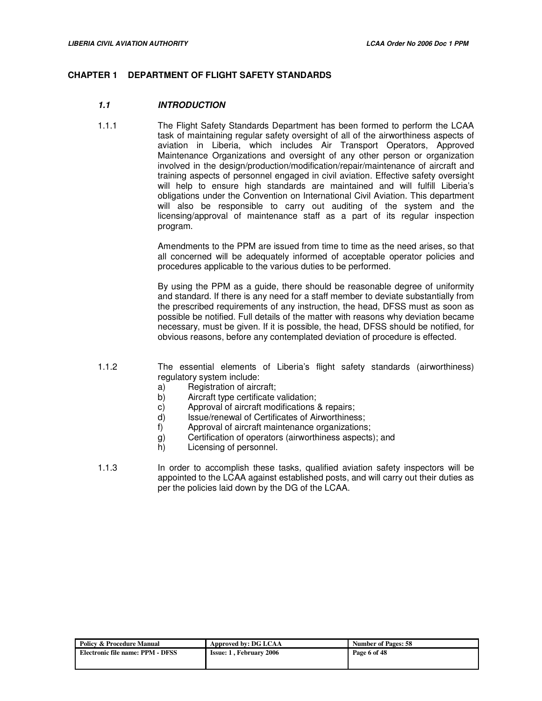## **CHAPTER 1 DEPARTMENT OF FLIGHT SAFETY STANDARDS**

## **1.1 INTRODUCTION**

1.1.1 The Flight Safety Standards Department has been formed to perform the LCAA task of maintaining regular safety oversight of all of the airworthiness aspects of aviation in Liberia, which includes Air Transport Operators, Approved Maintenance Organizations and oversight of any other person or organization involved in the design/production/modification/repair/maintenance of aircraft and training aspects of personnel engaged in civil aviation. Effective safety oversight will help to ensure high standards are maintained and will fulfill Liberia's obligations under the Convention on International Civil Aviation. This department will also be responsible to carry out auditing of the system and the licensing/approval of maintenance staff as a part of its regular inspection program.

> Amendments to the PPM are issued from time to time as the need arises, so that all concerned will be adequately informed of acceptable operator policies and procedures applicable to the various duties to be performed.

> By using the PPM as a guide, there should be reasonable degree of uniformity and standard. If there is any need for a staff member to deviate substantially from the prescribed requirements of any instruction, the head, DFSS must as soon as possible be notified. Full details of the matter with reasons why deviation became necessary, must be given. If it is possible, the head, DFSS should be notified, for obvious reasons, before any contemplated deviation of procedure is effected.

- 1.1.2 The essential elements of Liberia's flight safety standards (airworthiness) regulatory system include:
	- a) Registration of aircraft;
	- b) Aircraft type certificate validation;
	- c) Approval of aircraft modifications & repairs;
	- d) Issue/renewal of Certificates of Airworthiness;
	- f) Approval of aircraft maintenance organizations;
	- g) Certification of operators (airworthiness aspects); and
	- h) Licensing of personnel.
- 1.1.3 In order to accomplish these tasks, qualified aviation safety inspectors will be appointed to the LCAA against established posts, and will carry out their duties as per the policies laid down by the DG of the LCAA.

| <b>Policy &amp; Procedure Manual</b> | Approved by: DG LCAA           | <b>Number of Pages: 58</b> |
|--------------------------------------|--------------------------------|----------------------------|
| Electronic file name: PPM - DFSS     | <b>Issue: 1. February 2006</b> | Page 6 of 48               |
|                                      |                                |                            |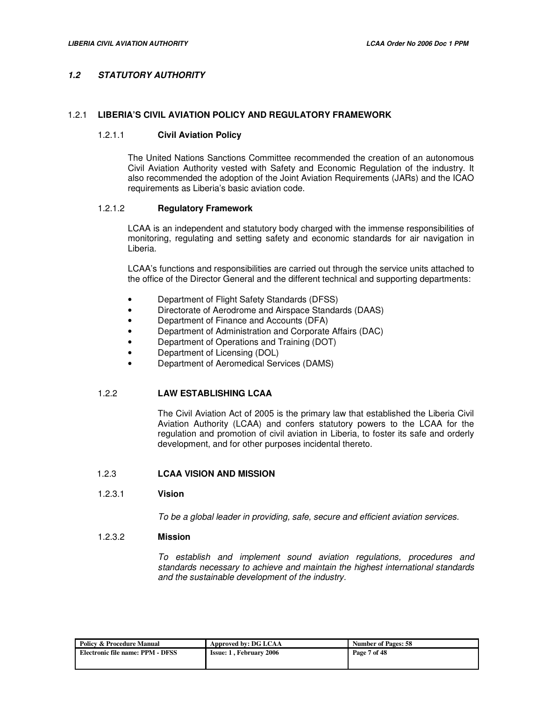# **1.2 STATUTORY AUTHORITY**

## 1.2.1 **LIBERIA'S CIVIL AVIATION POLICY AND REGULATORY FRAMEWORK**

#### 1.2.1.1 **Civil Aviation Policy**

The United Nations Sanctions Committee recommended the creation of an autonomous Civil Aviation Authority vested with Safety and Economic Regulation of the industry. It also recommended the adoption of the Joint Aviation Requirements (JARs) and the ICAO requirements as Liberia's basic aviation code.

#### 1.2.1.2 **Regulatory Framework**

LCAA is an independent and statutory body charged with the immense responsibilities of monitoring, regulating and setting safety and economic standards for air navigation in Liberia.

LCAA's functions and responsibilities are carried out through the service units attached to the office of the Director General and the different technical and supporting departments:

- Department of Flight Safety Standards (DFSS)
- Directorate of Aerodrome and Airspace Standards (DAAS)
- Department of Finance and Accounts (DFA)
- Department of Administration and Corporate Affairs (DAC)
- Department of Operations and Training (DOT)
- Department of Licensing (DOL)
- Department of Aeromedical Services (DAMS)

#### 1.2.2 **LAW ESTABLISHING LCAA**

The Civil Aviation Act of 2005 is the primary law that established the Liberia Civil Aviation Authority (LCAA) and confers statutory powers to the LCAA for the regulation and promotion of civil aviation in Liberia, to foster its safe and orderly development, and for other purposes incidental thereto.

## 1.2.3 **LCAA VISION AND MISSION**

## 1.2.3.1 **Vision**

To be a global leader in providing, safe, secure and efficient aviation services.

## 1.2.3.2 **Mission**

To establish and implement sound aviation regulations, procedures and standards necessary to achieve and maintain the highest international standards and the sustainable development of the industry.

| <b>Policy &amp; Procedure Manual</b> | Approved by: DG LCAA           | <b>Number of Pages: 58</b> |
|--------------------------------------|--------------------------------|----------------------------|
| Electronic file name: PPM - DFSS     | <b>Issue: 1. February 2006</b> | Page 7 of 48               |
|                                      |                                |                            |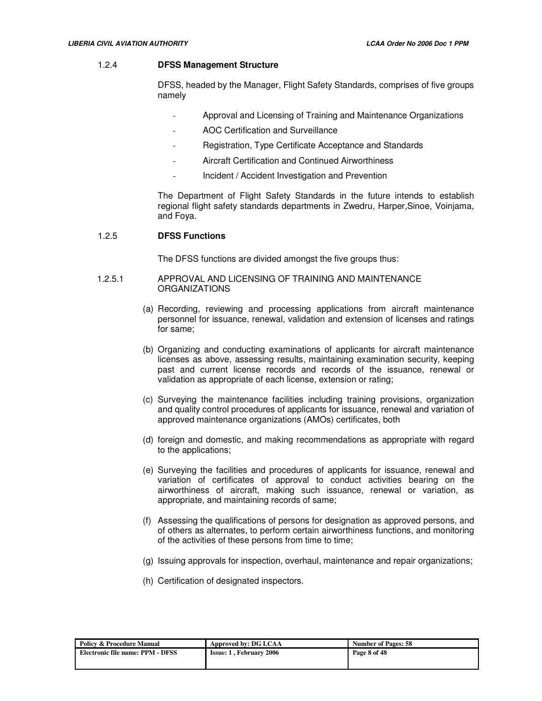#### 1.2.4 **DFSS Management Structure**

DFSS, headed by the Manager, Flight Safety Standards, comprises of five groups namely

- Approval and Licensing of Training and Maintenance Organizations
- AOC Certification and Surveillance
- Registration, Type Certificate Acceptance and Standards
- Aircraft Certification and Continued Airworthiness
- Incident / Accident Investigation and Prevention

The Department of Flight Safety Standards in the future intends to establish regional flight safety standards departments in Zwedru, Harper,Sinoe, Voinjama, and Foya.

#### 1.2.5 **DFSS Functions**

The DFSS functions are divided amongst the five groups thus:

#### 1.2.5.1 APPROVAL AND LICENSING OF TRAINING AND MAINTENANCE ORGANIZATIONS

- (a) Recording, reviewing and processing applications from aircraft maintenance personnel for issuance, renewal, validation and extension of licenses and ratings for same;
- (b) Organizing and conducting examinations of applicants for aircraft maintenance licenses as above, assessing results, maintaining examination security, keeping past and current license records and records of the issuance, renewal or validation as appropriate of each license, extension or rating;
- (c) Surveying the maintenance facilities including training provisions, organization and quality control procedures of applicants for issuance, renewal and variation of approved maintenance organizations (AMOs) certificates, both
- (d) foreign and domestic, and making recommendations as appropriate with regard to the applications;
- (e) Surveying the facilities and procedures of applicants for issuance, renewal and variation of certificates of approval to conduct activities bearing on the airworthiness of aircraft, making such issuance, renewal or variation, as appropriate, and maintaining records of same;
- (f) Assessing the qualifications of persons for designation as approved persons, and of others as alternates, to perform certain airworthiness functions, and monitoring of the activities of these persons from time to time;
- (g) Issuing approvals for inspection, overhaul, maintenance and repair organizations;
- (h) Certification of designated inspectors.

| Policy & Procedure Manual        | Approved by: DG LCAA           | <b>Number of Pages: 58</b> |
|----------------------------------|--------------------------------|----------------------------|
| Electronic file name: PPM - DFSS | <b>Issue: 1, February 2006</b> | Page 8 of 48               |
|                                  |                                |                            |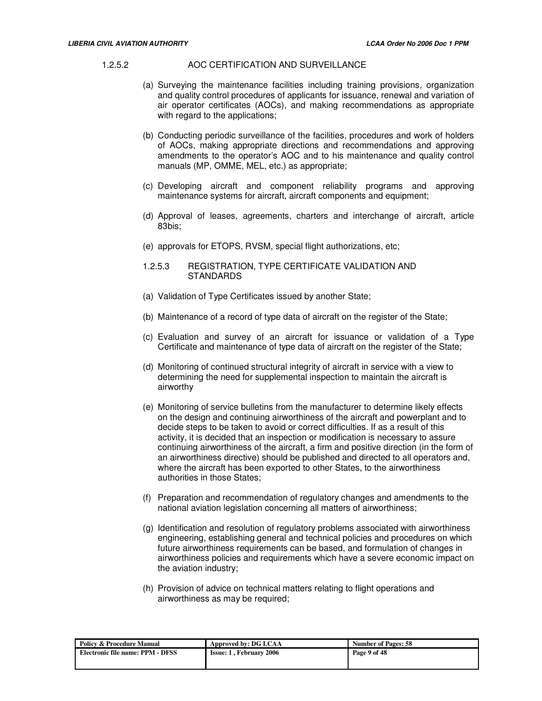#### 1.2.5.2 AOC CERTIFICATION AND SURVEILLANCE

- (a) Surveying the maintenance facilities including training provisions, organization and quality control procedures of applicants for issuance, renewal and variation of air operator certificates (AOCs), and making recommendations as appropriate with regard to the applications;
- (b) Conducting periodic surveillance of the facilities, procedures and work of holders of AOCs, making appropriate directions and recommendations and approving amendments to the operator's AOC and to his maintenance and quality control manuals (MP, OMME, MEL, etc.) as appropriate;
- (c) Developing aircraft and component reliability programs and approving maintenance systems for aircraft, aircraft components and equipment;
- (d) Approval of leases, agreements, charters and interchange of aircraft, article 83bis;
- (e) approvals for ETOPS, RVSM, special flight authorizations, etc;
- 1.2.5.3 REGISTRATION, TYPE CERTIFICATE VALIDATION AND **STANDARDS**
- (a) Validation of Type Certificates issued by another State;
- (b) Maintenance of a record of type data of aircraft on the register of the State;
- (c) Evaluation and survey of an aircraft for issuance or validation of a Type Certificate and maintenance of type data of aircraft on the register of the State;
- (d) Monitoring of continued structural integrity of aircraft in service with a view to determining the need for supplemental inspection to maintain the aircraft is airworthy
- (e) Monitoring of service bulletins from the manufacturer to determine likely effects on the design and continuing airworthiness of the aircraft and powerplant and to decide steps to be taken to avoid or correct difficulties. If as a result of this activity, it is decided that an inspection or modification is necessary to assure continuing airworthiness of the aircraft, a firm and positive direction (in the form of an airworthiness directive) should be published and directed to all operators and, where the aircraft has been exported to other States, to the airworthiness authorities in those States;
- (f) Preparation and recommendation of regulatory changes and amendments to the national aviation legislation concerning all matters of airworthiness;
- (g) Identification and resolution of regulatory problems associated with airworthiness engineering, establishing general and technical policies and procedures on which future airworthiness requirements can be based, and formulation of changes in airworthiness policies and requirements which have a severe economic impact on the aviation industry;
- (h) Provision of advice on technical matters relating to flight operations and airworthiness as may be required;

| <b>Policy &amp; Procedure Manual</b> | Approved by: DG LCAA           | <b>Number of Pages: 58</b> |
|--------------------------------------|--------------------------------|----------------------------|
| Electronic file name: PPM - DFSS     | <b>Issue: 1. February 2006</b> | Page 9 of 48               |
|                                      |                                |                            |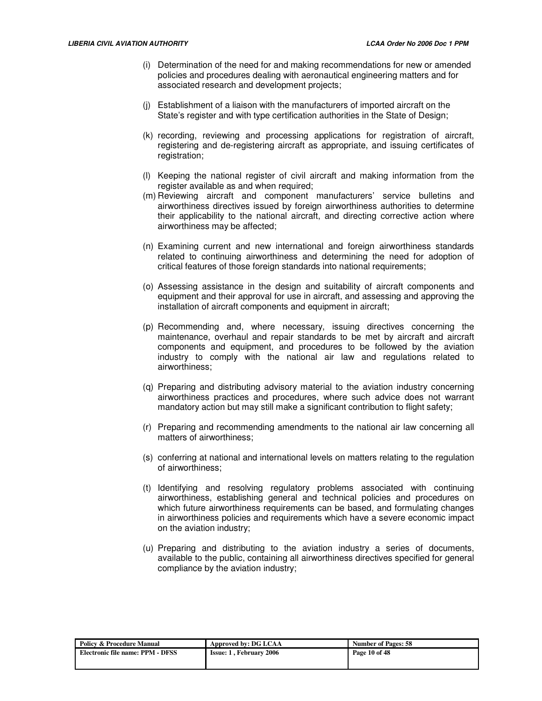- (i) Determination of the need for and making recommendations for new or amended policies and procedures dealing with aeronautical engineering matters and for associated research and development projects;
- (j) Establishment of a liaison with the manufacturers of imported aircraft on the State's register and with type certification authorities in the State of Design;
- (k) recording, reviewing and processing applications for registration of aircraft, registering and de-registering aircraft as appropriate, and issuing certificates of registration;
- (l) Keeping the national register of civil aircraft and making information from the register available as and when required;
- (m) Reviewing aircraft and component manufacturers' service bulletins and airworthiness directives issued by foreign airworthiness authorities to determine their applicability to the national aircraft, and directing corrective action where airworthiness may be affected;
- (n) Examining current and new international and foreign airworthiness standards related to continuing airworthiness and determining the need for adoption of critical features of those foreign standards into national requirements;
- (o) Assessing assistance in the design and suitability of aircraft components and equipment and their approval for use in aircraft, and assessing and approving the installation of aircraft components and equipment in aircraft;
- (p) Recommending and, where necessary, issuing directives concerning the maintenance, overhaul and repair standards to be met by aircraft and aircraft components and equipment, and procedures to be followed by the aviation industry to comply with the national air law and regulations related to airworthiness;
- (q) Preparing and distributing advisory material to the aviation industry concerning airworthiness practices and procedures, where such advice does not warrant mandatory action but may still make a significant contribution to flight safety;
- (r) Preparing and recommending amendments to the national air law concerning all matters of airworthiness;
- (s) conferring at national and international levels on matters relating to the regulation of airworthiness;
- (t) Identifying and resolving regulatory problems associated with continuing airworthiness, establishing general and technical policies and procedures on which future airworthiness requirements can be based, and formulating changes in airworthiness policies and requirements which have a severe economic impact on the aviation industry;
- (u) Preparing and distributing to the aviation industry a series of documents, available to the public, containing all airworthiness directives specified for general compliance by the aviation industry;

| <b>Policy &amp; Procedure Manual</b> | Approved by: DG LCAA           | <b>Number of Pages: 58</b> |
|--------------------------------------|--------------------------------|----------------------------|
| Electronic file name: PPM - DFSS     | <b>Issue: 1. February 2006</b> | Page 10 of 48              |
|                                      |                                |                            |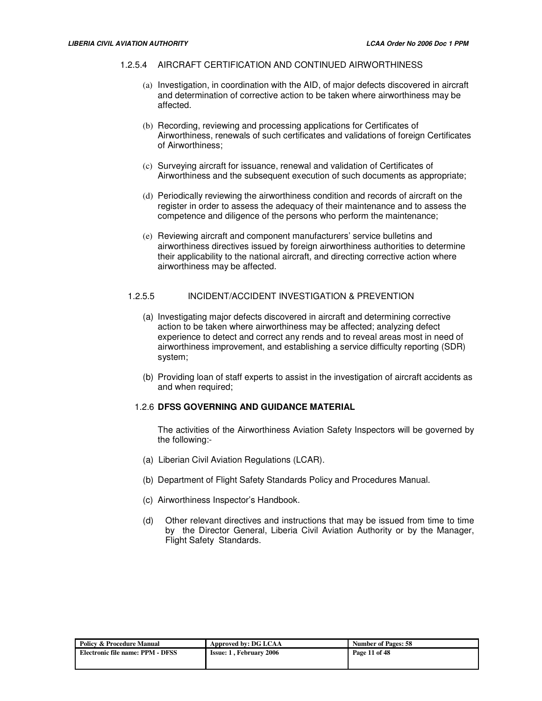#### 1.2.5.4 AIRCRAFT CERTIFICATION AND CONTINUED AIRWORTHINESS

- (a) Investigation, in coordination with the AID, of major defects discovered in aircraft and determination of corrective action to be taken where airworthiness may be affected.
- (b) Recording, reviewing and processing applications for Certificates of Airworthiness, renewals of such certificates and validations of foreign Certificates of Airworthiness;
- (c) Surveying aircraft for issuance, renewal and validation of Certificates of Airworthiness and the subsequent execution of such documents as appropriate;
- (d) Periodically reviewing the airworthiness condition and records of aircraft on the register in order to assess the adequacy of their maintenance and to assess the competence and diligence of the persons who perform the maintenance;
- (e) Reviewing aircraft and component manufacturers' service bulletins and airworthiness directives issued by foreign airworthiness authorities to determine their applicability to the national aircraft, and directing corrective action where airworthiness may be affected.

## 1.2.5.5 INCIDENT/ACCIDENT INVESTIGATION & PREVENTION

- (a) Investigating major defects discovered in aircraft and determining corrective action to be taken where airworthiness may be affected; analyzing defect experience to detect and correct any rends and to reveal areas most in need of airworthiness improvement, and establishing a service difficulty reporting (SDR) system;
- (b) Providing loan of staff experts to assist in the investigation of aircraft accidents as and when required;

#### 1.2.6 **DFSS GOVERNING AND GUIDANCE MATERIAL**

The activities of the Airworthiness Aviation Safety Inspectors will be governed by the following:-

- (a) Liberian Civil Aviation Regulations (LCAR).
- (b) Department of Flight Safety Standards Policy and Procedures Manual.
- (c) Airworthiness Inspector's Handbook.
- (d) Other relevant directives and instructions that may be issued from time to time by the Director General, Liberia Civil Aviation Authority or by the Manager, Flight Safety Standards.

| Policy & Procedure Manual        | Approved by: DG LCAA           | <b>Number of Pages: 58</b> |
|----------------------------------|--------------------------------|----------------------------|
| Electronic file name: PPM - DFSS | <b>Issue: 1. February 2006</b> | Page 11 of 48              |
|                                  |                                |                            |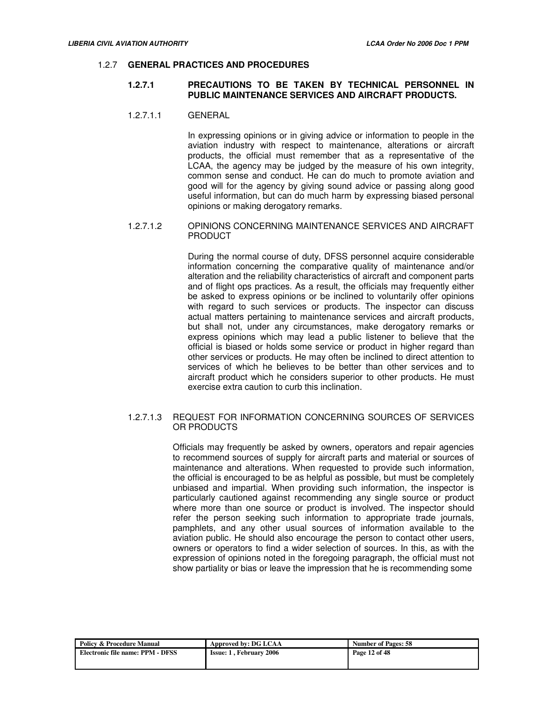#### 1.2.7 **GENERAL PRACTICES AND PROCEDURES**

## **1.2.7.1 PRECAUTIONS TO BE TAKEN BY TECHNICAL PERSONNEL IN PUBLIC MAINTENANCE SERVICES AND AIRCRAFT PRODUCTS.**

#### 1.2.7.1.1 GENERAL

In expressing opinions or in giving advice or information to people in the aviation industry with respect to maintenance, alterations or aircraft products, the official must remember that as a representative of the LCAA, the agency may be judged by the measure of his own integrity, common sense and conduct. He can do much to promote aviation and good will for the agency by giving sound advice or passing along good useful information, but can do much harm by expressing biased personal opinions or making derogatory remarks.

# 1.2.7.1.2 OPINIONS CONCERNING MAINTENANCE SERVICES AND AIRCRAFT PRODUCT

During the normal course of duty, DFSS personnel acquire considerable information concerning the comparative quality of maintenance and/or alteration and the reliability characteristics of aircraft and component parts and of flight ops practices. As a result, the officials may frequently either be asked to express opinions or be inclined to voluntarily offer opinions with regard to such services or products. The inspector can discuss actual matters pertaining to maintenance services and aircraft products, but shall not, under any circumstances, make derogatory remarks or express opinions which may lead a public listener to believe that the official is biased or holds some service or product in higher regard than other services or products. He may often be inclined to direct attention to services of which he believes to be better than other services and to aircraft product which he considers superior to other products. He must exercise extra caution to curb this inclination.

## 1.2.7.1.3 REQUEST FOR INFORMATION CONCERNING SOURCES OF SERVICES OR PRODUCTS

Officials may frequently be asked by owners, operators and repair agencies to recommend sources of supply for aircraft parts and material or sources of maintenance and alterations. When requested to provide such information, the official is encouraged to be as helpful as possible, but must be completely unbiased and impartial. When providing such information, the inspector is particularly cautioned against recommending any single source or product where more than one source or product is involved. The inspector should refer the person seeking such information to appropriate trade journals, pamphlets, and any other usual sources of information available to the aviation public. He should also encourage the person to contact other users, owners or operators to find a wider selection of sources. In this, as with the expression of opinions noted in the foregoing paragraph, the official must not show partiality or bias or leave the impression that he is recommending some

| Policy & Procedure Manual        | Approved by: DG LCAA           | <b>Number of Pages: 58</b> |
|----------------------------------|--------------------------------|----------------------------|
| Electronic file name: PPM - DFSS | <b>Issue: 1. February 2006</b> | Page 12 of 48              |
|                                  |                                |                            |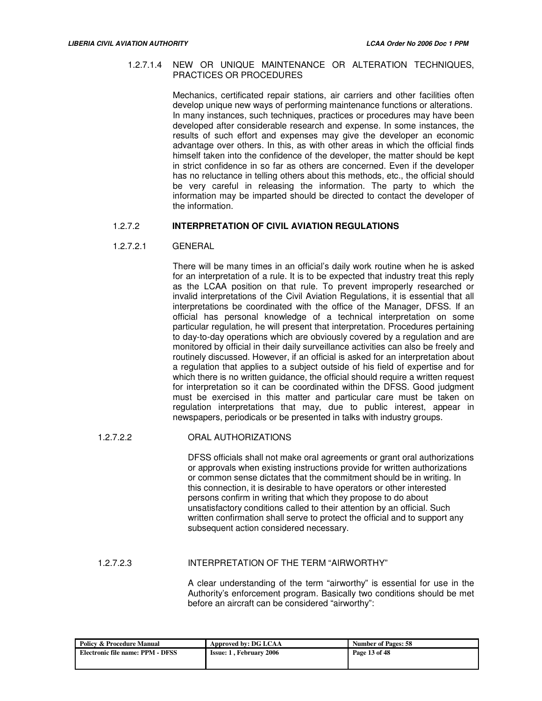## 1.2.7.1.4 NEW OR UNIQUE MAINTENANCE OR ALTERATION TECHNIQUES, PRACTICES OR PROCEDURES

Mechanics, certificated repair stations, air carriers and other facilities often develop unique new ways of performing maintenance functions or alterations. In many instances, such techniques, practices or procedures may have been developed after considerable research and expense. In some instances, the results of such effort and expenses may give the developer an economic advantage over others. In this, as with other areas in which the official finds himself taken into the confidence of the developer, the matter should be kept in strict confidence in so far as others are concerned. Even if the developer has no reluctance in telling others about this methods, etc., the official should be very careful in releasing the information. The party to which the information may be imparted should be directed to contact the developer of the information.

# 1.2.7.2 **INTERPRETATION OF CIVIL AVIATION REGULATIONS**

#### 1.2.7.2.1 GENERAL

There will be many times in an official's daily work routine when he is asked for an interpretation of a rule. It is to be expected that industry treat this reply as the LCAA position on that rule. To prevent improperly researched or invalid interpretations of the Civil Aviation Regulations, it is essential that all interpretations be coordinated with the office of the Manager, DFSS. If an official has personal knowledge of a technical interpretation on some particular regulation, he will present that interpretation. Procedures pertaining to day-to-day operations which are obviously covered by a regulation and are monitored by official in their daily surveillance activities can also be freely and routinely discussed. However, if an official is asked for an interpretation about a regulation that applies to a subject outside of his field of expertise and for which there is no written quidance, the official should require a written request for interpretation so it can be coordinated within the DFSS. Good judgment must be exercised in this matter and particular care must be taken on regulation interpretations that may, due to public interest, appear in newspapers, periodicals or be presented in talks with industry groups.

## 1.2.7.2.2 ORAL AUTHORIZATIONS

DFSS officials shall not make oral agreements or grant oral authorizations or approvals when existing instructions provide for written authorizations or common sense dictates that the commitment should be in writing. In this connection, it is desirable to have operators or other interested persons confirm in writing that which they propose to do about unsatisfactory conditions called to their attention by an official. Such written confirmation shall serve to protect the official and to support any subsequent action considered necessary.

### 1.2.7.2.3 INTERPRETATION OF THE TERM "AIRWORTHY"

A clear understanding of the term "airworthy" is essential for use in the Authority's enforcement program. Basically two conditions should be met before an aircraft can be considered "airworthy":

| <b>Policy &amp; Procedure Manual</b> | Approved by: DG LCAA           | <b>Number of Pages: 58</b> |
|--------------------------------------|--------------------------------|----------------------------|
| Electronic file name: PPM - DFSS     | <b>Issue: 1. February 2006</b> | Page 13 of 48              |
|                                      |                                |                            |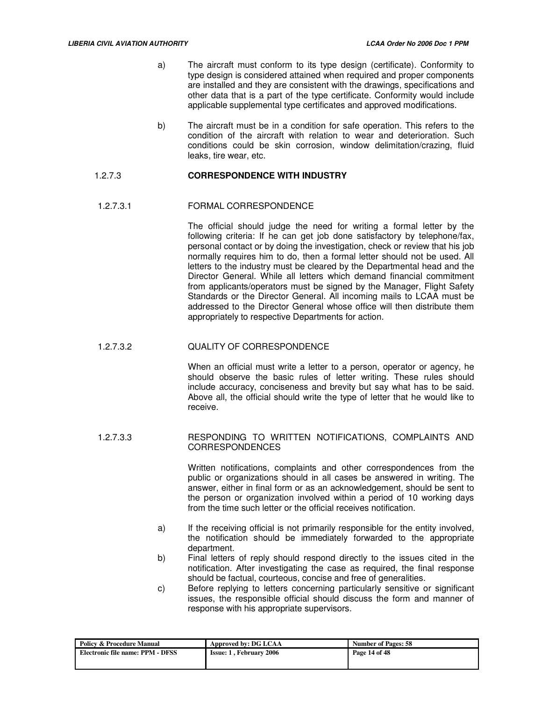- a) The aircraft must conform to its type design (certificate). Conformity to type design is considered attained when required and proper components are installed and they are consistent with the drawings, specifications and other data that is a part of the type certificate. Conformity would include applicable supplemental type certificates and approved modifications.
- b) The aircraft must be in a condition for safe operation. This refers to the condition of the aircraft with relation to wear and deterioration. Such conditions could be skin corrosion, window delimitation/crazing, fluid leaks, tire wear, etc.

## 1.2.7.3 **CORRESPONDENCE WITH INDUSTRY**

## 1.2.7.3.1 FORMAL CORRESPONDENCE

The official should judge the need for writing a formal letter by the following criteria: If he can get job done satisfactory by telephone/fax, personal contact or by doing the investigation, check or review that his job normally requires him to do, then a formal letter should not be used. All letters to the industry must be cleared by the Departmental head and the Director General. While all letters which demand financial commitment from applicants/operators must be signed by the Manager, Flight Safety Standards or the Director General. All incoming mails to LCAA must be addressed to the Director General whose office will then distribute them appropriately to respective Departments for action.

# 1.2.7.3.2 QUALITY OF CORRESPONDENCE

When an official must write a letter to a person, operator or agency, he should observe the basic rules of letter writing. These rules should include accuracy, conciseness and brevity but say what has to be said. Above all, the official should write the type of letter that he would like to receive.

## 1.2.7.3.3 RESPONDING TO WRITTEN NOTIFICATIONS, COMPLAINTS AND CORRESPONDENCES

Written notifications, complaints and other correspondences from the public or organizations should in all cases be answered in writing. The answer, either in final form or as an acknowledgement, should be sent to the person or organization involved within a period of 10 working days from the time such letter or the official receives notification.

- a) If the receiving official is not primarily responsible for the entity involved, the notification should be immediately forwarded to the appropriate department.
- b) Final letters of reply should respond directly to the issues cited in the notification. After investigating the case as required, the final response should be factual, courteous, concise and free of generalities.
- c) Before replying to letters concerning particularly sensitive or significant issues, the responsible official should discuss the form and manner of response with his appropriate supervisors.

| <b>Policy &amp; Procedure Manual</b> | Approved by: DG LCAA           | <b>Number of Pages: 58</b> |
|--------------------------------------|--------------------------------|----------------------------|
| Electronic file name: PPM - DFSS     | <b>Issue: 1, February 2006</b> | Page 14 of 48              |
|                                      |                                |                            |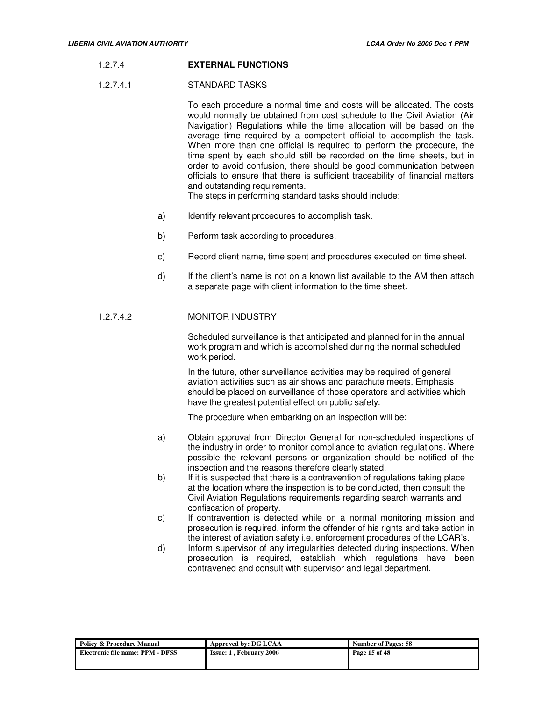## 1.2.7.4 **EXTERNAL FUNCTIONS**

#### 1.2.7.4.1 STANDARD TASKS

To each procedure a normal time and costs will be allocated. The costs would normally be obtained from cost schedule to the Civil Aviation (Air Navigation) Regulations while the time allocation will be based on the average time required by a competent official to accomplish the task. When more than one official is required to perform the procedure, the time spent by each should still be recorded on the time sheets, but in order to avoid confusion, there should be good communication between officials to ensure that there is sufficient traceability of financial matters and outstanding requirements.

The steps in performing standard tasks should include:

- a) Identify relevant procedures to accomplish task.
- b) Perform task according to procedures.
- c) Record client name, time spent and procedures executed on time sheet.
- d) If the client's name is not on a known list available to the AM then attach a separate page with client information to the time sheet.

# 1.2.7.4.2 MONITOR INDUSTRY

Scheduled surveillance is that anticipated and planned for in the annual work program and which is accomplished during the normal scheduled work period.

In the future, other surveillance activities may be required of general aviation activities such as air shows and parachute meets. Emphasis should be placed on surveillance of those operators and activities which have the greatest potential effect on public safety.

The procedure when embarking on an inspection will be:

- a) Obtain approval from Director General for non-scheduled inspections of the industry in order to monitor compliance to aviation regulations. Where possible the relevant persons or organization should be notified of the inspection and the reasons therefore clearly stated.
- b) If it is suspected that there is a contravention of regulations taking place at the location where the inspection is to be conducted, then consult the Civil Aviation Regulations requirements regarding search warrants and confiscation of property.
- c) If contravention is detected while on a normal monitoring mission and prosecution is required, inform the offender of his rights and take action in the interest of aviation safety i.e. enforcement procedures of the LCAR's.
- d) Inform supervisor of any irregularities detected during inspections. When prosecution is required, establish which regulations have been contravened and consult with supervisor and legal department.

| <b>Policy &amp; Procedure Manual</b> | Approved by: DG LCAA           | <b>Number of Pages: 58</b> |
|--------------------------------------|--------------------------------|----------------------------|
| Electronic file name: PPM - DFSS     | <b>Issue: 1. February 2006</b> | Page 15 of 48              |
|                                      |                                |                            |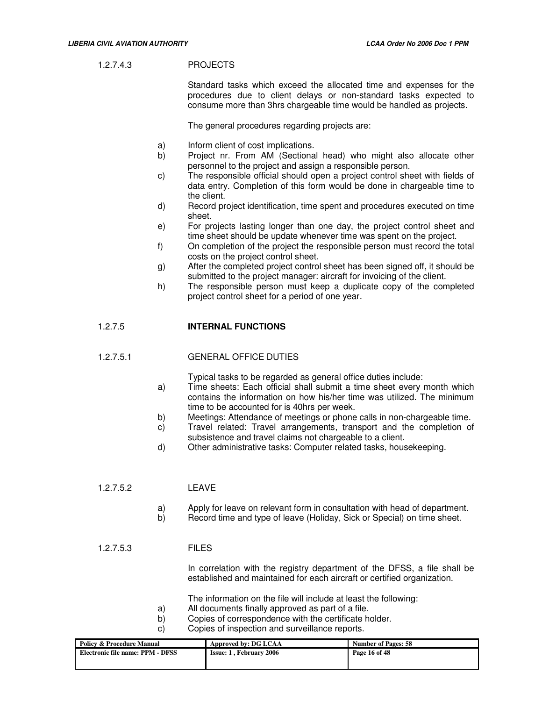## 1.2.7.4.3 PROJECTS

Standard tasks which exceed the allocated time and expenses for the procedures due to client delays or non-standard tasks expected to consume more than 3hrs chargeable time would be handled as projects.

The general procedures regarding projects are:

- a) Inform client of cost implications.
- b) Project nr. From AM (Sectional head) who might also allocate other personnel to the project and assign a responsible person.
- c) The responsible official should open a project control sheet with fields of data entry. Completion of this form would be done in chargeable time to the client.
- d) Record project identification, time spent and procedures executed on time sheet.
- e) For projects lasting longer than one day, the project control sheet and time sheet should be update whenever time was spent on the project.
- f) On completion of the project the responsible person must record the total costs on the project control sheet.
- g) After the completed project control sheet has been signed off, it should be submitted to the project manager: aircraft for invoicing of the client.
- h) The responsible person must keep a duplicate copy of the completed project control sheet for a period of one year.

# 1.2.7.5 **INTERNAL FUNCTIONS**

## 1.2.7.5.1 GENERAL OFFICE DUTIES

Typical tasks to be regarded as general office duties include:

- a) Time sheets: Each official shall submit a time sheet every month which contains the information on how his/her time was utilized. The minimum time to be accounted for is 40hrs per week.
- b) Meetings: Attendance of meetings or phone calls in non-chargeable time.
- c) Travel related: Travel arrangements, transport and the completion of subsistence and travel claims not chargeable to a client.
- d) Other administrative tasks: Computer related tasks, housekeeping.

## 1.2.7.5.2 LEAVE

- a) Apply for leave on relevant form in consultation with head of department.
- b) Record time and type of leave (Holiday, Sick or Special) on time sheet.

## 1.2.7.5.3 FILES

In correlation with the registry department of the DFSS, a file shall be established and maintained for each aircraft or certified organization.

- The information on the file will include at least the following:
- a) All documents finally approved as part of a file.
- b) Copies of correspondence with the certificate holder.
- c) Copies of inspection and surveillance reports.

| Policy & Procedure Manual        | Approved by: DG LCAA           | <b>Number of Pages: 58</b> |
|----------------------------------|--------------------------------|----------------------------|
| Electronic file name: PPM - DFSS | <b>Issue: 1. February 2006</b> | Page 16 of 48              |
|                                  |                                |                            |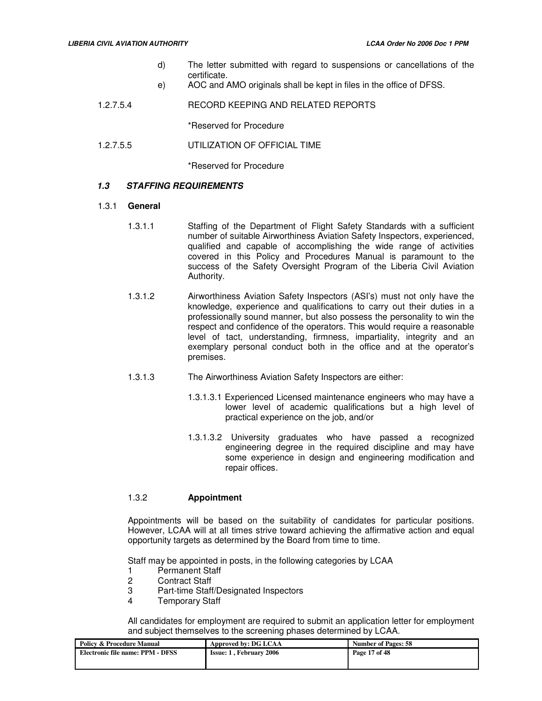- d) The letter submitted with regard to suspensions or cancellations of the certificate.
- e) AOC and AMO originals shall be kept in files in the office of DFSS.
- 1.2.7.5.4 RECORD KEEPING AND RELATED REPORTS

\*Reserved for Procedure

1.2.7.5.5 UTILIZATION OF OFFICIAL TIME

\*Reserved for Procedure

# **1.3 STAFFING REQUIREMENTS**

## 1.3.1 **General**

- 1.3.1.1 Staffing of the Department of Flight Safety Standards with a sufficient number of suitable Airworthiness Aviation Safety Inspectors, experienced, qualified and capable of accomplishing the wide range of activities covered in this Policy and Procedures Manual is paramount to the success of the Safety Oversight Program of the Liberia Civil Aviation Authority.
- 1.3.1.2 Airworthiness Aviation Safety Inspectors (ASI's) must not only have the knowledge, experience and qualifications to carry out their duties in a professionally sound manner, but also possess the personality to win the respect and confidence of the operators. This would require a reasonable level of tact, understanding, firmness, impartiality, integrity and an exemplary personal conduct both in the office and at the operator's premises.
- 1.3.1.3 The Airworthiness Aviation Safety Inspectors are either:
	- 1.3.1.3.1 Experienced Licensed maintenance engineers who may have a lower level of academic qualifications but a high level of practical experience on the job, and/or
	- 1.3.1.3.2 University graduates who have passed a recognized engineering degree in the required discipline and may have some experience in design and engineering modification and repair offices.

## 1.3.2 **Appointment**

Appointments will be based on the suitability of candidates for particular positions. However, LCAA will at all times strive toward achieving the affirmative action and equal opportunity targets as determined by the Board from time to time.

Staff may be appointed in posts, in the following categories by LCAA

- 1 Permanent Staff<br>2 Contract Staff
- **Contract Staff**
- 3 Part-time Staff/Designated Inspectors
- 4 Temporary Staff

All candidates for employment are required to submit an application letter for employment and subject themselves to the screening phases determined by LCAA.

| <b>Policy &amp; Procedure Manual</b> | Approved by: DG LCAA           | <b>Number of Pages: 58</b> |
|--------------------------------------|--------------------------------|----------------------------|
| Electronic file name: PPM - DFSS     | <b>Issue: 1, February 2006</b> | Page 17 of 48              |
|                                      |                                |                            |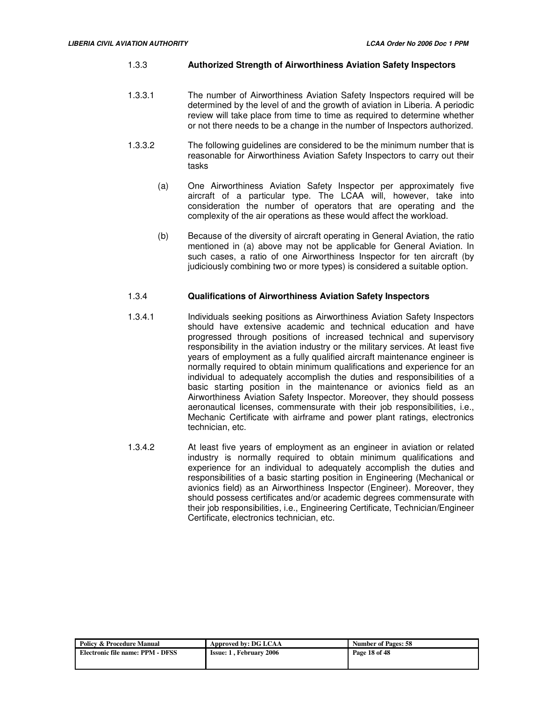## 1.3.3 **Authorized Strength of Airworthiness Aviation Safety Inspectors**

- 1.3.3.1 The number of Airworthiness Aviation Safety Inspectors required will be determined by the level of and the growth of aviation in Liberia. A periodic review will take place from time to time as required to determine whether or not there needs to be a change in the number of Inspectors authorized.
- 1.3.3.2 The following guidelines are considered to be the minimum number that is reasonable for Airworthiness Aviation Safety Inspectors to carry out their tasks
	- (a) One Airworthiness Aviation Safety Inspector per approximately five aircraft of a particular type. The LCAA will, however, take into consideration the number of operators that are operating and the complexity of the air operations as these would affect the workload.
	- (b) Because of the diversity of aircraft operating in General Aviation, the ratio mentioned in (a) above may not be applicable for General Aviation. In such cases, a ratio of one Airworthiness Inspector for ten aircraft (by judiciously combining two or more types) is considered a suitable option.

## 1.3.4 **Qualifications of Airworthiness Aviation Safety Inspectors**

- 1.3.4.1 Individuals seeking positions as Airworthiness Aviation Safety Inspectors should have extensive academic and technical education and have progressed through positions of increased technical and supervisory responsibility in the aviation industry or the military services. At least five years of employment as a fully qualified aircraft maintenance engineer is normally required to obtain minimum qualifications and experience for an individual to adequately accomplish the duties and responsibilities of a basic starting position in the maintenance or avionics field as an Airworthiness Aviation Safety Inspector. Moreover, they should possess aeronautical licenses, commensurate with their job responsibilities, i.e., Mechanic Certificate with airframe and power plant ratings, electronics technician, etc.
- 1.3.4.2 At least five years of employment as an engineer in aviation or related industry is normally required to obtain minimum qualifications and experience for an individual to adequately accomplish the duties and responsibilities of a basic starting position in Engineering (Mechanical or avionics field) as an Airworthiness Inspector (Engineer). Moreover, they should possess certificates and/or academic degrees commensurate with their job responsibilities, i.e., Engineering Certificate, Technician/Engineer Certificate, electronics technician, etc.

| Policy & Procedure Manual        | Approved by: DG LCAA           | <b>Number of Pages: 58</b> |
|----------------------------------|--------------------------------|----------------------------|
| Electronic file name: PPM - DFSS | <b>Issue: 1. February 2006</b> | Page 18 of 48              |
|                                  |                                |                            |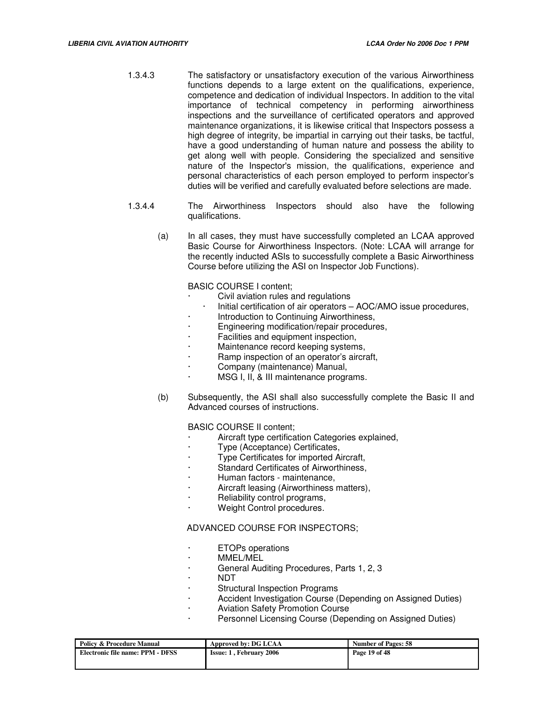- 1.3.4.3 The satisfactory or unsatisfactory execution of the various Airworthiness functions depends to a large extent on the qualifications, experience, competence and dedication of individual Inspectors. In addition to the vital importance of technical competency in performing airworthiness inspections and the surveillance of certificated operators and approved maintenance organizations, it is likewise critical that Inspectors possess a high degree of integrity, be impartial in carrying out their tasks, be tactful, have a good understanding of human nature and possess the ability to get along well with people. Considering the specialized and sensitive nature of the Inspector's mission, the qualifications, experience and personal characteristics of each person employed to perform inspector's duties will be verified and carefully evaluated before selections are made.
- 1.3.4.4 The Airworthiness Inspectors should also have the following qualifications.
	- (a) In all cases, they must have successfully completed an LCAA approved Basic Course for Airworthiness Inspectors. (Note: LCAA will arrange for the recently inducted ASIs to successfully complete a Basic Airworthiness Course before utilizing the ASI on Inspector Job Functions).

BASIC COURSE I content;

- Civil aviation rules and regulations
- Initial certification of air operators AOC/AMO issue procedures,
- Introduction to Continuing Airworthiness,
- · Engineering modification/repair procedures,
- Facilities and equipment inspection,
- Maintenance record keeping systems,
- Ramp inspection of an operator's aircraft,
- · Company (maintenance) Manual,
- MSG I, II, & III maintenance programs.
- (b) Subsequently, the ASI shall also successfully complete the Basic II and Advanced courses of instructions.

BASIC COURSE II content;

- Aircraft type certification Categories explained,
- · Type (Acceptance) Certificates,
- · Type Certificates for imported Aircraft,
- Standard Certificates of Airworthiness.
- · Human factors maintenance,
- Aircraft leasing (Airworthiness matters),
- Reliability control programs,
- Weight Control procedures.

#### ADVANCED COURSE FOR INSPECTORS;

- · ETOPs operations
- · MMEL/MEL
- · General Auditing Procedures, Parts 1, 2, 3
- · NDT
- **Structural Inspection Programs**
- Accident Investigation Course (Depending on Assigned Duties)
- Aviation Safety Promotion Course
- Personnel Licensing Course (Depending on Assigned Duties)

| <b>Policy &amp; Procedure Manual</b> | Approved by: DG LCAA           | <b>Number of Pages: 58</b> |
|--------------------------------------|--------------------------------|----------------------------|
| Electronic file name: PPM - DFSS     | <b>Issue: 1. February 2006</b> | Page 19 of 48              |
|                                      |                                |                            |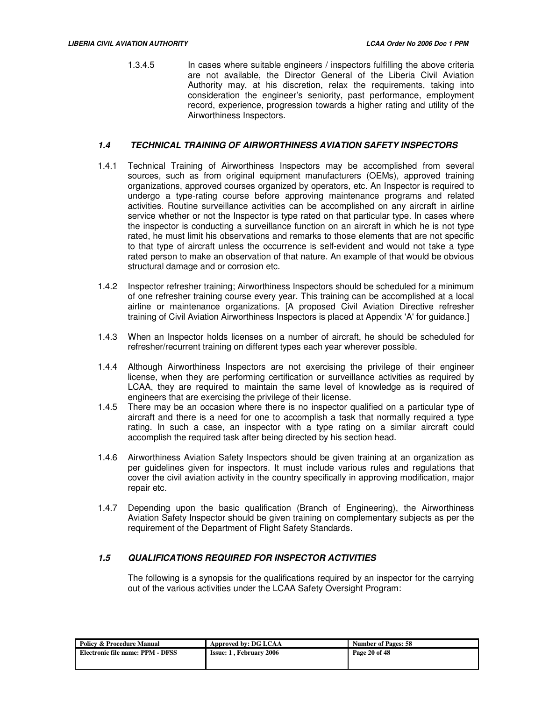1.3.4.5 In cases where suitable engineers / inspectors fulfilling the above criteria are not available, the Director General of the Liberia Civil Aviation Authority may, at his discretion, relax the requirements, taking into consideration the engineer's seniority, past performance, employment record, experience, progression towards a higher rating and utility of the Airworthiness Inspectors.

## **1.4 TECHNICAL TRAINING OF AIRWORTHINESS AVIATION SAFETY INSPECTORS**

- 1.4.1 Technical Training of Airworthiness Inspectors may be accomplished from several sources, such as from original equipment manufacturers (OEMs), approved training organizations, approved courses organized by operators, etc. An Inspector is required to undergo a type-rating course before approving maintenance programs and related activities. Routine surveillance activities can be accomplished on any aircraft in airline service whether or not the Inspector is type rated on that particular type. In cases where the inspector is conducting a surveillance function on an aircraft in which he is not type rated, he must limit his observations and remarks to those elements that are not specific to that type of aircraft unless the occurrence is self-evident and would not take a type rated person to make an observation of that nature. An example of that would be obvious structural damage and or corrosion etc.
- 1.4.2 Inspector refresher training; Airworthiness Inspectors should be scheduled for a minimum of one refresher training course every year. This training can be accomplished at a local airline or maintenance organizations. [A proposed Civil Aviation Directive refresher training of Civil Aviation Airworthiness Inspectors is placed at Appendix 'A' for guidance.]
- 1.4.3 When an Inspector holds licenses on a number of aircraft, he should be scheduled for refresher/recurrent training on different types each year wherever possible.
- 1.4.4 Although Airworthiness Inspectors are not exercising the privilege of their engineer license, when they are performing certification or surveillance activities as required by LCAA, they are required to maintain the same level of knowledge as is required of engineers that are exercising the privilege of their license.
- 1.4.5 There may be an occasion where there is no inspector qualified on a particular type of aircraft and there is a need for one to accomplish a task that normally required a type rating. In such a case, an inspector with a type rating on a similar aircraft could accomplish the required task after being directed by his section head.
- 1.4.6 Airworthiness Aviation Safety Inspectors should be given training at an organization as per guidelines given for inspectors. It must include various rules and regulations that cover the civil aviation activity in the country specifically in approving modification, major repair etc.
- 1.4.7 Depending upon the basic qualification (Branch of Engineering), the Airworthiness Aviation Safety Inspector should be given training on complementary subjects as per the requirement of the Department of Flight Safety Standards.

## **1.5 QUALIFICATIONS REQUIRED FOR INSPECTOR ACTIVITIES**

The following is a synopsis for the qualifications required by an inspector for the carrying out of the various activities under the LCAA Safety Oversight Program:

| <b>Policy &amp; Procedure Manual</b> | Approved by: DG LCAA           | <b>Number of Pages: 58</b> |
|--------------------------------------|--------------------------------|----------------------------|
| Electronic file name: PPM - DFSS     | <b>Issue: 1, February 2006</b> | Page 20 of 48              |
|                                      |                                |                            |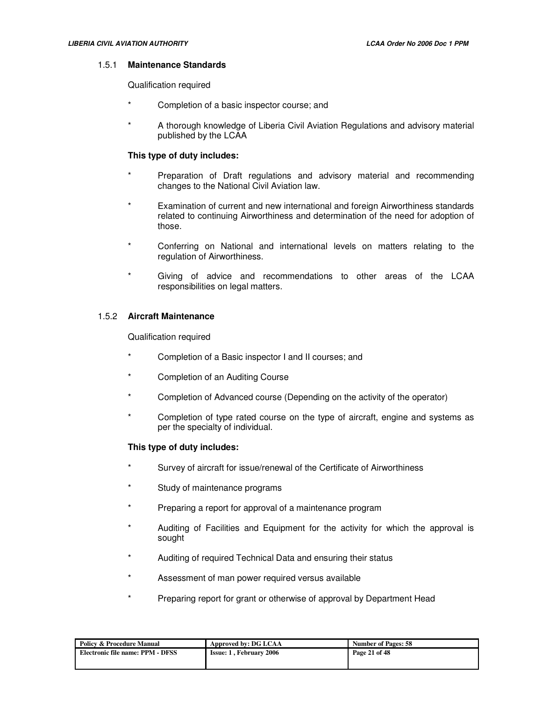#### 1.5.1 **Maintenance Standards**

#### Qualification required

- Completion of a basic inspector course; and
- A thorough knowledge of Liberia Civil Aviation Regulations and advisory material published by the LCAA

## **This type of duty includes:**

- \* Preparation of Draft regulations and advisory material and recommending changes to the National Civil Aviation law.
- \* Examination of current and new international and foreign Airworthiness standards related to continuing Airworthiness and determination of the need for adoption of those.
- \* Conferring on National and international levels on matters relating to the regulation of Airworthiness.
- Giving of advice and recommendations to other areas of the LCAA responsibilities on legal matters.

## 1.5.2 **Aircraft Maintenance**

Qualification required

- Completion of a Basic inspector I and II courses; and
- \* Completion of an Auditing Course
- Completion of Advanced course (Depending on the activity of the operator)
- \* Completion of type rated course on the type of aircraft, engine and systems as per the specialty of individual.

## **This type of duty includes:**

- Survey of aircraft for issue/renewal of the Certificate of Airworthiness
- \* Study of maintenance programs
- Preparing a report for approval of a maintenance program
- Auditing of Facilities and Equipment for the activity for which the approval is sought
- Auditing of required Technical Data and ensuring their status
- Assessment of man power required versus available
- Preparing report for grant or otherwise of approval by Department Head

| <b>Number of Pages: 58</b> |                                                        |
|----------------------------|--------------------------------------------------------|
| Page 21 of 48              |                                                        |
|                            | Approved by: DG LCAA<br><b>Issue: 1. February 2006</b> |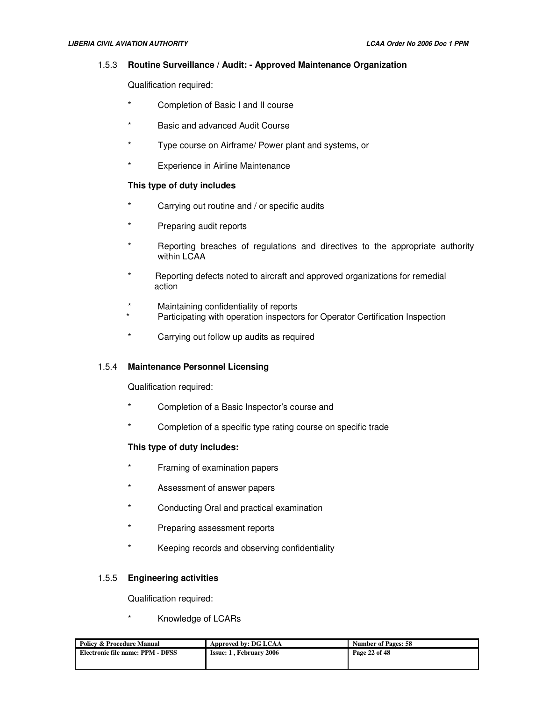#### 1.5.3 **Routine Surveillance / Audit: - Approved Maintenance Organization**

Qualification required:

- Completion of Basic I and II course
- Basic and advanced Audit Course
- Type course on Airframe/ Power plant and systems, or
- **Experience in Airline Maintenance**

## **This type of duty includes**

- Carrying out routine and / or specific audits
- Preparing audit reports
- Reporting breaches of regulations and directives to the appropriate authority within LCAA
- Reporting defects noted to aircraft and approved organizations for remedial action
- Maintaining confidentiality of reports
- Participating with operation inspectors for Operator Certification Inspection
- Carrying out follow up audits as required

## 1.5.4 **Maintenance Personnel Licensing**

Qualification required:

- Completion of a Basic Inspector's course and
- Completion of a specific type rating course on specific trade

## **This type of duty includes:**

- Framing of examination papers
- Assessment of answer papers
- \* Conducting Oral and practical examination
- Preparing assessment reports
- Keeping records and observing confidentiality

## 1.5.5 **Engineering activities**

Qualification required:

Knowledge of LCARs

| <b>Policy &amp; Procedure Manual</b> | Approved by: DG LCAA           | <b>Number of Pages: 58</b> |
|--------------------------------------|--------------------------------|----------------------------|
| Electronic file name: PPM - DFSS     | <b>Issue: 1. February 2006</b> | Page 22 of 48              |
|                                      |                                |                            |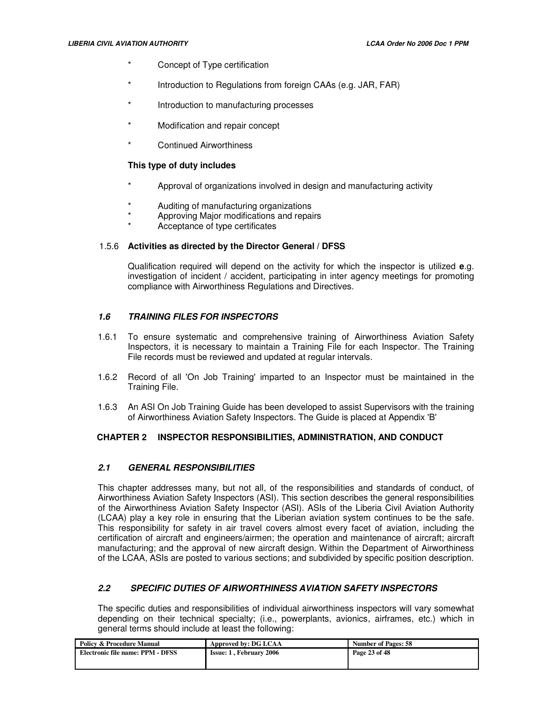- Concept of Type certification
- Introduction to Regulations from foreign CAAs (e.g. JAR, FAR)
- Introduction to manufacturing processes
- Modification and repair concept
	- Continued Airworthiness

## **This type of duty includes**

- Approval of organizations involved in design and manufacturing activity
- Auditing of manufacturing organizations
- Approving Major modifications and repairs
- Acceptance of type certificates

## 1.5.6 **Activities as directed by the Director General / DFSS**

Qualification required will depend on the activity for which the inspector is utilized **e**.g. investigation of incident / accident, participating in inter agency meetings for promoting compliance with Airworthiness Regulations and Directives.

## **1.6 TRAINING FILES FOR INSPECTORS**

- 1.6.1 To ensure systematic and comprehensive training of Airworthiness Aviation Safety Inspectors, it is necessary to maintain a Training File for each Inspector. The Training File records must be reviewed and updated at regular intervals.
- 1.6.2 Record of all 'On Job Training' imparted to an Inspector must be maintained in the Training File.
- 1.6.3 An ASI On Job Training Guide has been developed to assist Supervisors with the training of Airworthiness Aviation Safety Inspectors. The Guide is placed at Appendix 'B'

## **CHAPTER 2 INSPECTOR RESPONSIBILITIES, ADMINISTRATION, AND CONDUCT**

## **2.1 GENERAL RESPONSIBILITIES**

This chapter addresses many, but not all, of the responsibilities and standards of conduct, of Airworthiness Aviation Safety Inspectors (ASI). This section describes the general responsibilities of the Airworthiness Aviation Safety Inspector (ASI). ASIs of the Liberia Civil Aviation Authority (LCAA) play a key role in ensuring that the Liberian aviation system continues to be the safe. This responsibility for safety in air travel covers almost every facet of aviation, including the certification of aircraft and engineers/airmen; the operation and maintenance of aircraft; aircraft manufacturing; and the approval of new aircraft design. Within the Department of Airworthiness of the LCAA, ASIs are posted to various sections; and subdivided by specific position description.

## **2.2 SPECIFIC DUTIES OF AIRWORTHINESS AVIATION SAFETY INSPECTORS**

The specific duties and responsibilities of individual airworthiness inspectors will vary somewhat depending on their technical specialty; (i.e., powerplants, avionics, airframes, etc.) which in general terms should include at least the following:

| <b>Policy &amp; Procedure Manual</b> | Approved by: DG LCAA           | <b>Number of Pages: 58</b> |
|--------------------------------------|--------------------------------|----------------------------|
| Electronic file name: PPM - DFSS     | <b>Issue: 1. February 2006</b> | Page 23 of 48              |
|                                      |                                |                            |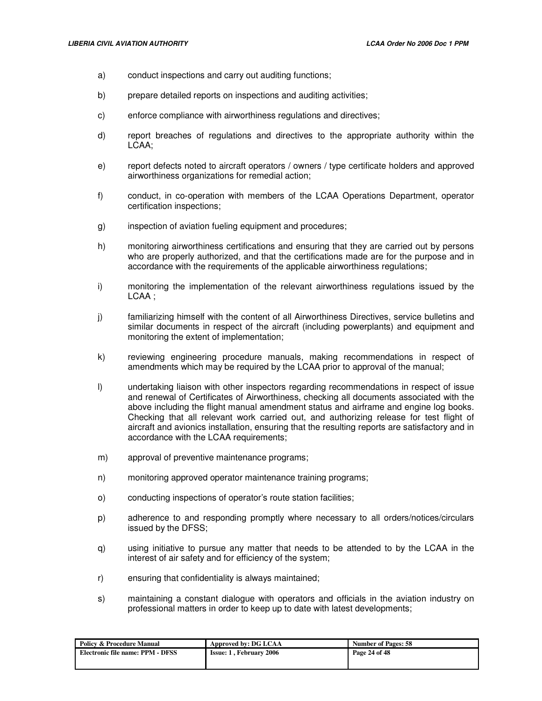- a) conduct inspections and carry out auditing functions;
- b) prepare detailed reports on inspections and auditing activities;
- c) enforce compliance with airworthiness regulations and directives;
- d) report breaches of regulations and directives to the appropriate authority within the LCAA;
- e) report defects noted to aircraft operators / owners / type certificate holders and approved airworthiness organizations for remedial action;
- f) conduct, in co-operation with members of the LCAA Operations Department, operator certification inspections;
- g) inspection of aviation fueling equipment and procedures;
- h) monitoring airworthiness certifications and ensuring that they are carried out by persons who are properly authorized, and that the certifications made are for the purpose and in accordance with the requirements of the applicable airworthiness regulations;
- i) monitoring the implementation of the relevant airworthiness regulations issued by the LCAA ;
- j) familiarizing himself with the content of all Airworthiness Directives, service bulletins and similar documents in respect of the aircraft (including powerplants) and equipment and monitoring the extent of implementation;
- k) reviewing engineering procedure manuals, making recommendations in respect of amendments which may be required by the LCAA prior to approval of the manual;
- l) undertaking liaison with other inspectors regarding recommendations in respect of issue and renewal of Certificates of Airworthiness, checking all documents associated with the above including the flight manual amendment status and airframe and engine log books. Checking that all relevant work carried out, and authorizing release for test flight of aircraft and avionics installation, ensuring that the resulting reports are satisfactory and in accordance with the LCAA requirements;
- m) approval of preventive maintenance programs;
- n) monitoring approved operator maintenance training programs;
- o) conducting inspections of operator's route station facilities;
- p) adherence to and responding promptly where necessary to all orders/notices/circulars issued by the DFSS;
- q) using initiative to pursue any matter that needs to be attended to by the LCAA in the interest of air safety and for efficiency of the system;
- r) ensuring that confidentiality is always maintained;
- s) maintaining a constant dialogue with operators and officials in the aviation industry on professional matters in order to keep up to date with latest developments;

| <b>Policy &amp; Procedure Manual</b> | Approved by: DG LCAA           | <b>Number of Pages: 58</b> |
|--------------------------------------|--------------------------------|----------------------------|
| Electronic file name: PPM - DFSS     | <b>Issue: 1, February 2006</b> | Page 24 of 48              |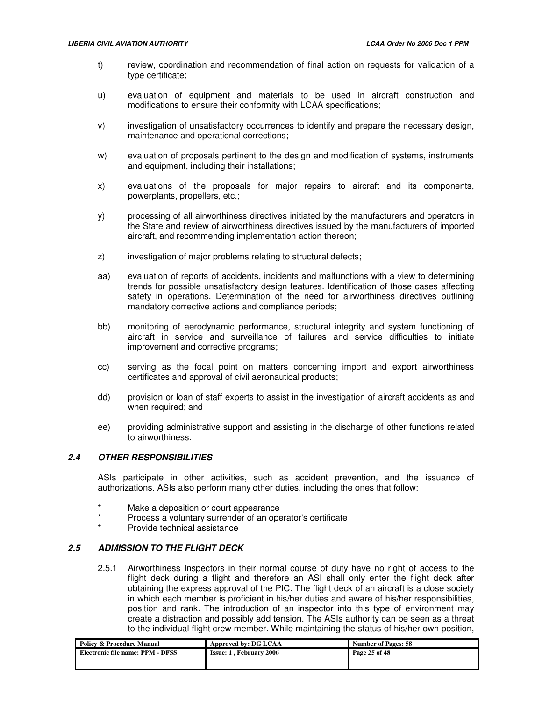- t) review, coordination and recommendation of final action on requests for validation of a type certificate;
- u) evaluation of equipment and materials to be used in aircraft construction and modifications to ensure their conformity with LCAA specifications;
- v) investigation of unsatisfactory occurrences to identify and prepare the necessary design, maintenance and operational corrections;
- w) evaluation of proposals pertinent to the design and modification of systems, instruments and equipment, including their installations;
- x) evaluations of the proposals for major repairs to aircraft and its components, powerplants, propellers, etc.;
- y) processing of all airworthiness directives initiated by the manufacturers and operators in the State and review of airworthiness directives issued by the manufacturers of imported aircraft, and recommending implementation action thereon;
- z) investigation of major problems relating to structural defects;
- aa) evaluation of reports of accidents, incidents and malfunctions with a view to determining trends for possible unsatisfactory design features. Identification of those cases affecting safety in operations. Determination of the need for airworthiness directives outlining mandatory corrective actions and compliance periods;
- bb) monitoring of aerodynamic performance, structural integrity and system functioning of aircraft in service and surveillance of failures and service difficulties to initiate improvement and corrective programs;
- cc) serving as the focal point on matters concerning import and export airworthiness certificates and approval of civil aeronautical products;
- dd) provision or loan of staff experts to assist in the investigation of aircraft accidents as and when required; and
- ee) providing administrative support and assisting in the discharge of other functions related to airworthiness.

# **2.4 OTHER RESPONSIBILITIES**

ASIs participate in other activities, such as accident prevention, and the issuance of authorizations. ASIs also perform many other duties, including the ones that follow:

- Make a deposition or court appearance
- Process a voluntary surrender of an operator's certificate
- Provide technical assistance

## **2.5 ADMISSION TO THE FLIGHT DECK**

2.5.1 Airworthiness Inspectors in their normal course of duty have no right of access to the flight deck during a flight and therefore an ASI shall only enter the flight deck after obtaining the express approval of the PIC. The flight deck of an aircraft is a close society in which each member is proficient in his/her duties and aware of his/her responsibilities, position and rank. The introduction of an inspector into this type of environment may create a distraction and possibly add tension. The ASIs authority can be seen as a threat to the individual flight crew member. While maintaining the status of his/her own position,

| <b>Policy &amp; Procedure Manual</b> | Approved by: DG LCAA           | <b>Number of Pages: 58</b> |
|--------------------------------------|--------------------------------|----------------------------|
| Electronic file name: PPM - DFSS     | <b>Issue: 1. February 2006</b> | Page 25 of 48              |
|                                      |                                |                            |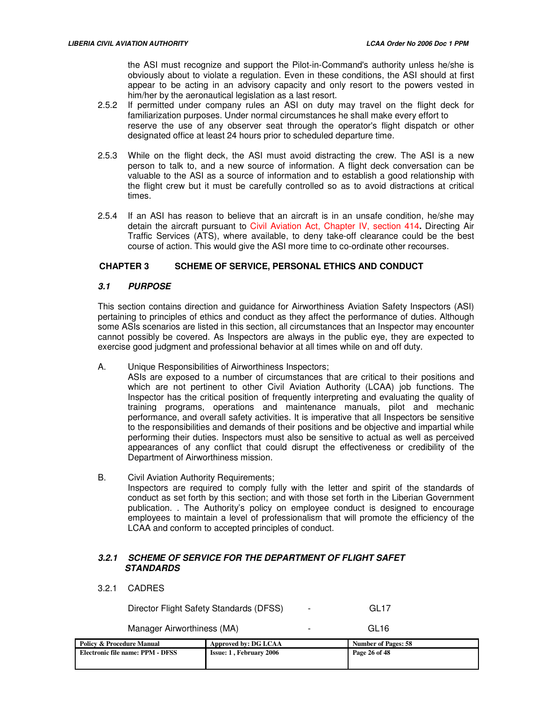the ASI must recognize and support the Pilot-in-Command's authority unless he/she is obviously about to violate a regulation. Even in these conditions, the ASI should at first appear to be acting in an advisory capacity and only resort to the powers vested in him/her by the aeronautical legislation as a last resort.

- 2.5.2 If permitted under company rules an ASI on duty may travel on the flight deck for familiarization purposes. Under normal circumstances he shall make every effort to reserve the use of any observer seat through the operator's flight dispatch or other designated office at least 24 hours prior to scheduled departure time.
- 2.5.3 While on the flight deck, the ASI must avoid distracting the crew. The ASI is a new person to talk to, and a new source of information. A flight deck conversation can be valuable to the ASI as a source of information and to establish a good relationship with the flight crew but it must be carefully controlled so as to avoid distractions at critical times.
- 2.5.4 If an ASI has reason to believe that an aircraft is in an unsafe condition, he/she may detain the aircraft pursuant to Civil Aviation Act, Chapter IV, section 414**.** Directing Air Traffic Services (ATS), where available, to deny take-off clearance could be the best course of action. This would give the ASI more time to co-ordinate other recourses.

## **CHAPTER 3 SCHEME OF SERVICE, PERSONAL ETHICS AND CONDUCT**

## **3.1 PURPOSE**

This section contains direction and guidance for Airworthiness Aviation Safety Inspectors (ASI) pertaining to principles of ethics and conduct as they affect the performance of duties. Although some ASIs scenarios are listed in this section, all circumstances that an Inspector may encounter cannot possibly be covered. As Inspectors are always in the public eye, they are expected to exercise good judgment and professional behavior at all times while on and off duty.

A. Unique Responsibilities of Airworthiness Inspectors;

ASIs are exposed to a number of circumstances that are critical to their positions and which are not pertinent to other Civil Aviation Authority (LCAA) job functions. The Inspector has the critical position of frequently interpreting and evaluating the quality of training programs, operations and maintenance manuals, pilot and mechanic performance, and overall safety activities. It is imperative that all Inspectors be sensitive to the responsibilities and demands of their positions and be objective and impartial while performing their duties. Inspectors must also be sensitive to actual as well as perceived appearances of any conflict that could disrupt the effectiveness or credibility of the Department of Airworthiness mission.

B. Civil Aviation Authority Requirements; Inspectors are required to comply fully with the letter and spirit of the standards of conduct as set forth by this section; and with those set forth in the Liberian Government publication. . The Authority's policy on employee conduct is designed to encourage employees to maintain a level of professionalism that will promote the efficiency of the LCAA and conform to accepted principles of conduct.

# **3.2.1 SCHEME OF SERVICE FOR THE DEPARTMENT OF FLIGHT SAFET STANDARDS**

## 3.2.1 CADRES

Director Flight Safety Standards (DFSS) - GL17

Manager Airworthiness (MA) **Fig. 1.18** Fig. 2.18

**Policy & Procedure Manual Approved by: DG LCAA Number of Pages: 58 <br>
Electronic file name: PPM - DFSS <br>
Issue: 1, February 2006 Page 26 of 48 Electronic file name: PPM - DFSS**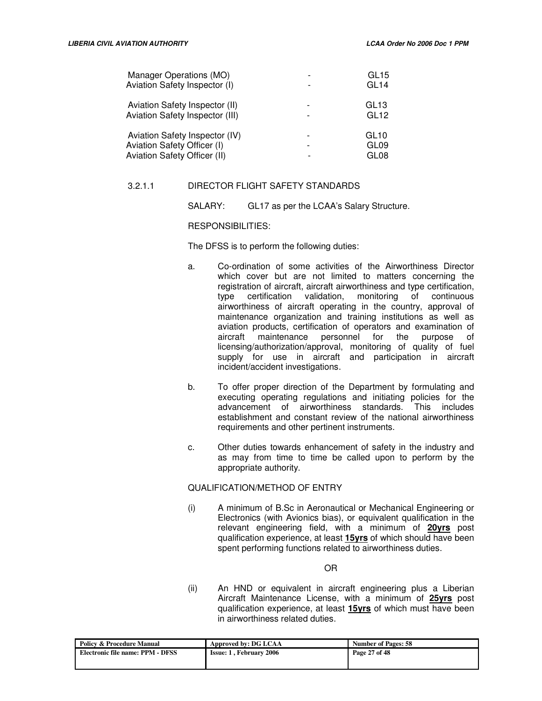| Manager Operations (MO)<br>Aviation Safety Inspector (I)                                      |                          | GL15<br>GL <sub>14</sub>                                 |
|-----------------------------------------------------------------------------------------------|--------------------------|----------------------------------------------------------|
| Aviation Safety Inspector (II)<br>Aviation Safety Inspector (III)                             |                          | GL <sub>13</sub><br>GL <sub>12</sub>                     |
| Aviation Safety Inspector (IV)<br>Aviation Safety Officer (I)<br>Aviation Safety Officer (II) | $\overline{\phantom{a}}$ | GL <sub>10</sub><br>GL <sub>09</sub><br>GL <sub>08</sub> |

# 3.2.1.1 DIRECTOR FLIGHT SAFETY STANDARDS

SALARY: GL17 as per the LCAA's Salary Structure.

## RESPONSIBILITIES:

The DFSS is to perform the following duties:

- a. Co-ordination of some activities of the Airworthiness Director which cover but are not limited to matters concerning the registration of aircraft, aircraft airworthiness and type certification, type certification validation, monitoring of continuous airworthiness of aircraft operating in the country, approval of maintenance organization and training institutions as well as aviation products, certification of operators and examination of aircraft maintenance personnel for the purpose of licensing/authorization/approval, monitoring of quality of fuel supply for use in aircraft and participation in aircraft incident/accident investigations.
- b. To offer proper direction of the Department by formulating and executing operating regulations and initiating policies for the advancement of airworthiness standards. This includes establishment and constant review of the national airworthiness requirements and other pertinent instruments.
- c. Other duties towards enhancement of safety in the industry and as may from time to time be called upon to perform by the appropriate authority.

# QUALIFICATION/METHOD OF ENTRY

(i) A minimum of B.Sc in Aeronautical or Mechanical Engineering or Electronics (with Avionics bias), or equivalent qualification in the relevant engineering field, with a minimum of **20yrs** post qualification experience, at least **15yrs** of which should have been spent performing functions related to airworthiness duties.

OR

(ii) An HND or equivalent in aircraft engineering plus a Liberian Aircraft Maintenance License, with a minimum of **25yrs** post qualification experience, at least **15yrs** of which must have been in airworthiness related duties.

| <b>Policy &amp; Procedure Manual</b> | Approved by: DG LCAA           | <b>Number of Pages: 58</b> |
|--------------------------------------|--------------------------------|----------------------------|
| Electronic file name: PPM - DFSS     | <b>Issue: 1. February 2006</b> | Page 27 of 48              |
|                                      |                                |                            |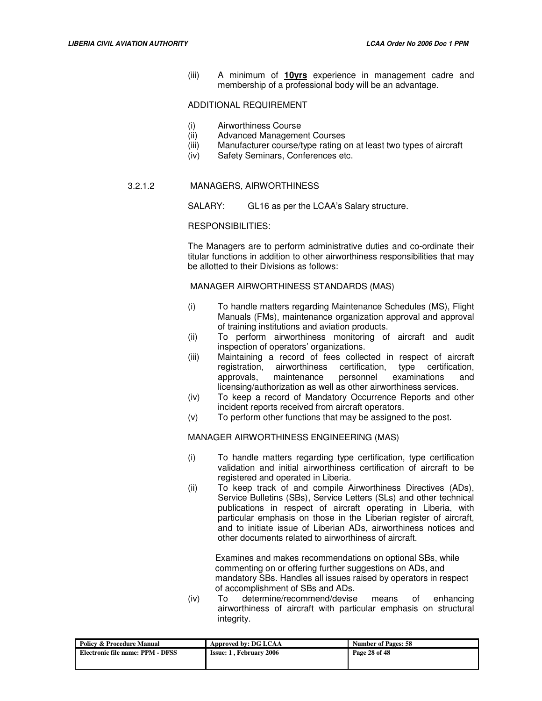(iii) A minimum of **10yrs** experience in management cadre and membership of a professional body will be an advantage.

## ADDITIONAL REQUIREMENT

- (i) Airworthiness Course
- (ii) Advanced Management Courses
- (iii) Manufacturer course/type rating on at least two types of aircraft
- (iv) Safety Seminars, Conferences etc.

## 3.2.1.2 MANAGERS, AIRWORTHINESS

SALARY: GL16 as per the LCAA's Salary structure.

#### RESPONSIBILITIES:

The Managers are to perform administrative duties and co-ordinate their titular functions in addition to other airworthiness responsibilities that may be allotted to their Divisions as follows:

MANAGER AIRWORTHINESS STANDARDS (MAS)

- (i) To handle matters regarding Maintenance Schedules (MS), Flight Manuals (FMs), maintenance organization approval and approval of training institutions and aviation products.
- (ii) To perform airworthiness monitoring of aircraft and audit inspection of operators' organizations.
- (iii) Maintaining a record of fees collected in respect of aircraft registration, airworthiness certification, type certification, approvals, maintenance personnel examinations and licensing/authorization as well as other airworthiness services.
- (iv) To keep a record of Mandatory Occurrence Reports and other incident reports received from aircraft operators.
- (v) To perform other functions that may be assigned to the post.

#### MANAGER AIRWORTHINESS ENGINEERING (MAS)

- (i) To handle matters regarding type certification, type certification validation and initial airworthiness certification of aircraft to be registered and operated in Liberia.
- (ii) To keep track of and compile Airworthiness Directives (ADs), Service Bulletins (SBs), Service Letters (SLs) and other technical publications in respect of aircraft operating in Liberia, with particular emphasis on those in the Liberian register of aircraft, and to initiate issue of Liberian ADs, airworthiness notices and other documents related to airworthiness of aircraft.

 Examines and makes recommendations on optional SBs, while commenting on or offering further suggestions on ADs, and mandatory SBs. Handles all issues raised by operators in respect of accomplishment of SBs and ADs.

(iv) To determine/recommend/devise means of enhancing airworthiness of aircraft with particular emphasis on structural integrity.

| <b>Policy &amp; Procedure Manual</b> | Approved by: DG LCAA           | <b>Number of Pages: 58</b> |
|--------------------------------------|--------------------------------|----------------------------|
| Electronic file name: PPM - DFSS     | <b>Issue: 1. February 2006</b> | Page 28 of 48              |
|                                      |                                |                            |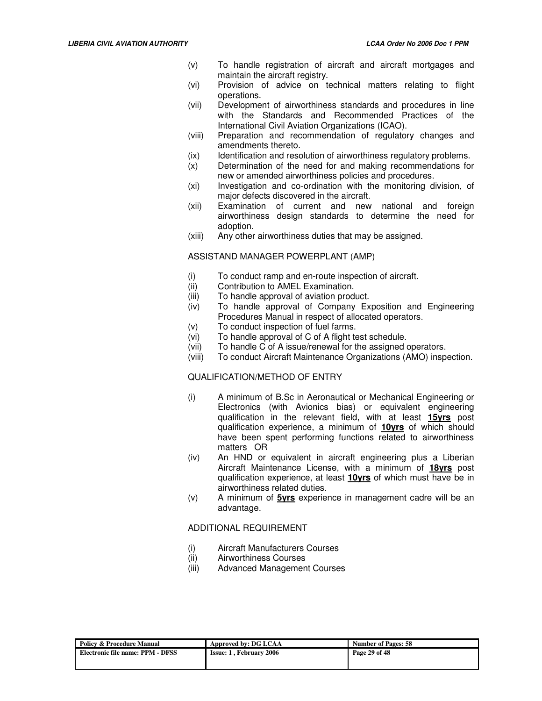- (v) To handle registration of aircraft and aircraft mortgages and maintain the aircraft registry.
- (vi) Provision of advice on technical matters relating to flight operations.
- (vii) Development of airworthiness standards and procedures in line with the Standards and Recommended Practices of the International Civil Aviation Organizations (ICAO).
- (viii) Preparation and recommendation of regulatory changes and amendments thereto.
- (ix) Identification and resolution of airworthiness regulatory problems.
- (x) Determination of the need for and making recommendations for new or amended airworthiness policies and procedures.
- (xi) Investigation and co-ordination with the monitoring division, of major defects discovered in the aircraft.
- (xii) Examination of current and new national and foreign airworthiness design standards to determine the need for adoption.
- (xiii) Any other airworthiness duties that may be assigned.

#### ASSISTAND MANAGER POWERPLANT (AMP)

- (i) To conduct ramp and en-route inspection of aircraft.
- (ii) Contribution to AMEL Examination.
- (iii) To handle approval of aviation product.
- (iv) To handle approval of Company Exposition and Engineering Procedures Manual in respect of allocated operators.
- (v) To conduct inspection of fuel farms.
- (vi) To handle approval of C of A flight test schedule.
- (vii) To handle C of A issue/renewal for the assigned operators.
- (viii) To conduct Aircraft Maintenance Organizations (AMO) inspection.

#### QUALIFICATION/METHOD OF ENTRY

- (i) A minimum of B.Sc in Aeronautical or Mechanical Engineering or Electronics (with Avionics bias) or equivalent engineering qualification in the relevant field, with at least **15yrs** post qualification experience, a minimum of **10yrs** of which should have been spent performing functions related to airworthiness matters OR
- (iv) An HND or equivalent in aircraft engineering plus a Liberian Aircraft Maintenance License, with a minimum of **18yrs** post qualification experience, at least **10yrs** of which must have be in airworthiness related duties.
- (v) A minimum of **5yrs** experience in management cadre will be an advantage.

#### ADDITIONAL REQUIREMENT

- (i) Aircraft Manufacturers Courses
- (ii) Airworthiness Courses
- (iii) Advanced Management Courses

| <b>Policy &amp; Procedure Manual</b> | Approved by: DG LCAA           | <b>Number of Pages: 58</b> |
|--------------------------------------|--------------------------------|----------------------------|
| Electronic file name: PPM - DFSS     | <b>Issue: 1, February 2006</b> | Page 29 of 48              |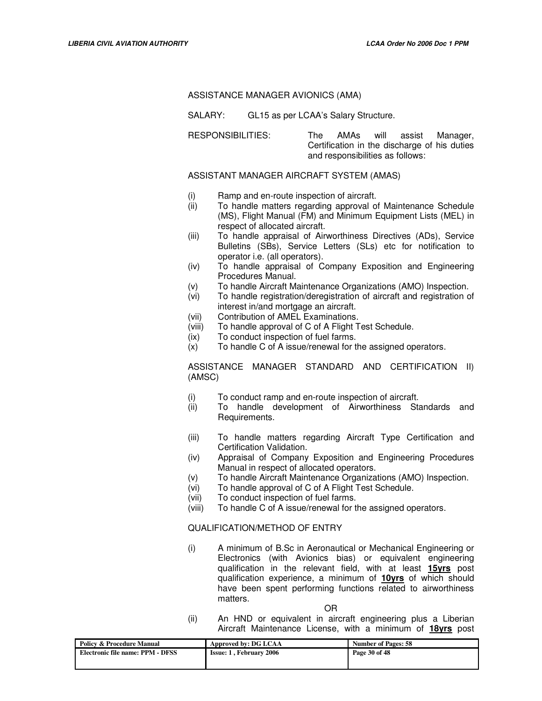#### ASSISTANCE MANAGER AVIONICS (AMA)

SALARY: GL15 as per LCAA's Salary Structure.

RESPONSIBILITIES: The AMAs will assist Manager, Certification in the discharge of his duties and responsibilities as follows:

## ASSISTANT MANAGER AIRCRAFT SYSTEM (AMAS)

- (i) Ramp and en-route inspection of aircraft.
- (ii) To handle matters regarding approval of Maintenance Schedule (MS), Flight Manual (FM) and Minimum Equipment Lists (MEL) in respect of allocated aircraft.
- (iii) To handle appraisal of Airworthiness Directives (ADs), Service Bulletins (SBs), Service Letters (SLs) etc for notification to operator i.e. (all operators).
- (iv) To handle appraisal of Company Exposition and Engineering Procedures Manual.
- (v) To handle Aircraft Maintenance Organizations (AMO) Inspection.
- (vi) To handle registration/deregistration of aircraft and registration of interest in/and mortgage an aircraft.
- (vii) Contribution of AMEL Examinations.
- (viii) To handle approval of C of A Flight Test Schedule.
- (ix) To conduct inspection of fuel farms.
- (x) To handle C of A issue/renewal for the assigned operators.

ASSISTANCE MANAGER STANDARD AND CERTIFICATION II) (AMSC)

- (i) To conduct ramp and en-route inspection of aircraft.
- (ii) To handle development of Airworthiness Standards and Requirements.
- (iii) To handle matters regarding Aircraft Type Certification and Certification Validation.
- (iv) Appraisal of Company Exposition and Engineering Procedures Manual in respect of allocated operators.
- (v) To handle Aircraft Maintenance Organizations (AMO) Inspection.
- (vi) To handle approval of C of A Flight Test Schedule.
- (vii) To conduct inspection of fuel farms.
- (viii) To handle C of A issue/renewal for the assigned operators.

#### QUALIFICATION/METHOD OF ENTRY

(i) A minimum of B.Sc in Aeronautical or Mechanical Engineering or Electronics (with Avionics bias) or equivalent engineering qualification in the relevant field, with at least **15yrs** post qualification experience, a minimum of **10yrs** of which should have been spent performing functions related to airworthiness matters.

OR

(ii) An HND or equivalent in aircraft engineering plus a Liberian Aircraft Maintenance License, with a minimum of **18yrs** post

| <b>Policy &amp; Procedure Manual</b> | Approved by: DG LCAA           | <b>Number of Pages: 58</b> |
|--------------------------------------|--------------------------------|----------------------------|
| Electronic file name: PPM - DFSS     | <b>Issue: 1. February 2006</b> | Page 30 of 48              |
|                                      |                                |                            |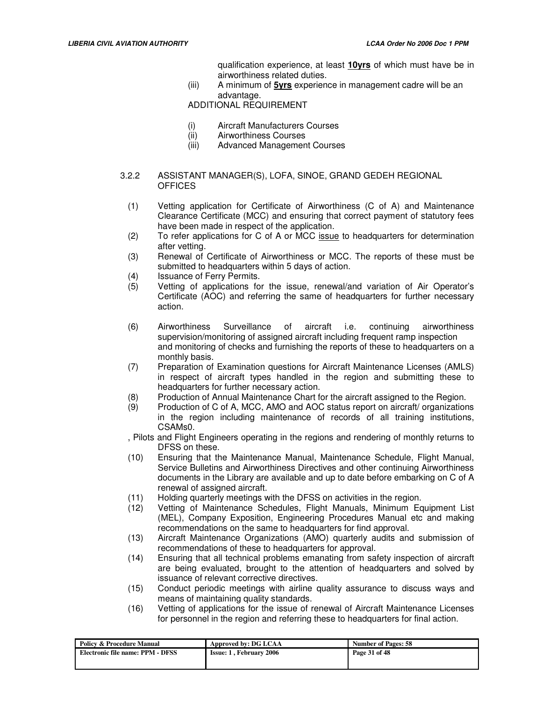qualification experience, at least **10yrs** of which must have be in airworthiness related duties.

(iii) A minimum of **5yrs** experience in management cadre will be an advantage.

ADDITIONAL REQUIREMENT

- (i) Aircraft Manufacturers Courses
- (ii) Airworthiness Courses
- (iii) Advanced Management Courses

## 3.2.2 ASSISTANT MANAGER(S), LOFA, SINOE, GRAND GEDEH REGIONAL **OFFICES**

- (1) Vetting application for Certificate of Airworthiness (C of A) and Maintenance Clearance Certificate (MCC) and ensuring that correct payment of statutory fees have been made in respect of the application.
- (2) To refer applications for C of A or MCC issue to headquarters for determination after vetting.
- (3) Renewal of Certificate of Airworthiness or MCC. The reports of these must be submitted to headquarters within 5 days of action.
- (4) Issuance of Ferry Permits.
- (5) Vetting of applications for the issue, renewal/and variation of Air Operator's Certificate (AOC) and referring the same of headquarters for further necessary action.
- (6) Airworthiness Surveillance of aircraft i.e. continuing airworthiness supervision/monitoring of assigned aircraft including frequent ramp inspection and monitoring of checks and furnishing the reports of these to headquarters on a monthly basis.
- (7) Preparation of Examination questions for Aircraft Maintenance Licenses (AMLS) in respect of aircraft types handled in the region and submitting these to headquarters for further necessary action.
- (8) Production of Annual Maintenance Chart for the aircraft assigned to the Region.
- (9) Production of C of A, MCC, AMO and AOC status report on aircraft/ organizations in the region including maintenance of records of all training institutions, CSAMs0.
- , Pilots and Flight Engineers operating in the regions and rendering of monthly returns to DFSS on these.
- (10) Ensuring that the Maintenance Manual, Maintenance Schedule, Flight Manual, Service Bulletins and Airworthiness Directives and other continuing Airworthiness documents in the Library are available and up to date before embarking on C of A renewal of assigned aircraft.
- (11) Holding quarterly meetings with the DFSS on activities in the region.
- (12) Vetting of Maintenance Schedules, Flight Manuals, Minimum Equipment List (MEL), Company Exposition, Engineering Procedures Manual etc and making recommendations on the same to headquarters for find approval.
- (13) Aircraft Maintenance Organizations (AMO) quarterly audits and submission of recommendations of these to headquarters for approval.
- (14) Ensuring that all technical problems emanating from safety inspection of aircraft are being evaluated, brought to the attention of headquarters and solved by issuance of relevant corrective directives.
- (15) Conduct periodic meetings with airline quality assurance to discuss ways and means of maintaining quality standards.
- (16) Vetting of applications for the issue of renewal of Aircraft Maintenance Licenses for personnel in the region and referring these to headquarters for final action.

| <b>Policy &amp; Procedure Manual</b> | Approved by: DG LCAA            | <b>Number of Pages: 58</b> |
|--------------------------------------|---------------------------------|----------------------------|
| Electronic file name: PPM - DFSS     | <b>Issue: 1 . February 2006</b> | Page 31 of 48              |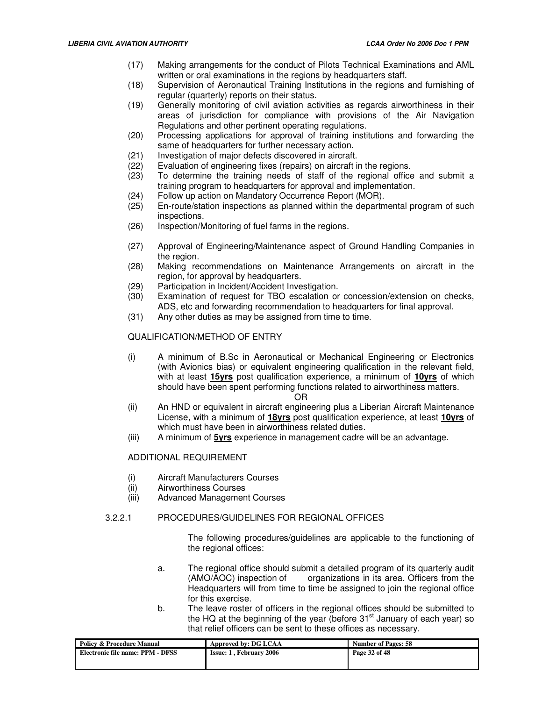- (17) Making arrangements for the conduct of Pilots Technical Examinations and AML written or oral examinations in the regions by headquarters staff.
- (18) Supervision of Aeronautical Training Institutions in the regions and furnishing of regular (quarterly) reports on their status.
- (19) Generally monitoring of civil aviation activities as regards airworthiness in their areas of jurisdiction for compliance with provisions of the Air Navigation Regulations and other pertinent operating regulations.
- (20) Processing applications for approval of training institutions and forwarding the same of headquarters for further necessary action.
- (21) Investigation of major defects discovered in aircraft.
- (22) Evaluation of engineering fixes (repairs) on aircraft in the regions.<br>(23) To determine the training needs of staff of the regional office
- To determine the training needs of staff of the regional office and submit a training program to headquarters for approval and implementation.
- (24) Follow up action on Mandatory Occurrence Report (MOR).
- (25) En-route/station inspections as planned within the departmental program of such inspections.
- (26) Inspection/Monitoring of fuel farms in the regions.
- (27) Approval of Engineering/Maintenance aspect of Ground Handling Companies in the region.
- (28) Making recommendations on Maintenance Arrangements on aircraft in the region, for approval by headquarters.
- (29) Participation in Incident/Accident Investigation.
- (30) Examination of request for TBO escalation or concession/extension on checks, ADS, etc and forwarding recommendation to headquarters for final approval.
- (31) Any other duties as may be assigned from time to time.

# QUALIFICATION/METHOD OF ENTRY

(i) A minimum of B.Sc in Aeronautical or Mechanical Engineering or Electronics (with Avionics bias) or equivalent engineering qualification in the relevant field, with at least **15yrs** post qualification experience, a minimum of **10yrs** of which should have been spent performing functions related to airworthiness matters.

#### OR

- (ii) An HND or equivalent in aircraft engineering plus a Liberian Aircraft Maintenance License, with a minimum of **18yrs** post qualification experience, at least **10yrs** of which must have been in airworthiness related duties.
- (iii) A minimum of **5yrs** experience in management cadre will be an advantage.

## ADDITIONAL REQUIREMENT

- (i) Aircraft Manufacturers Courses
- (ii) Airworthiness Courses
- (iii) Advanced Management Courses

## 3.2.2.1 PROCEDURES/GUIDELINES FOR REGIONAL OFFICES

The following procedures/guidelines are applicable to the functioning of the regional offices:

- a. The regional office should submit a detailed program of its quarterly audit (AMO/AOC) inspection of organizations in its area. Officers from the Headquarters will from time to time be assigned to join the regional office for this exercise.
- b. The leave roster of officers in the regional offices should be submitted to the HQ at the beginning of the year (before  $31<sup>st</sup>$  January of each year) so that relief officers can be sent to these offices as necessary.

| <b>Policy &amp; Procedure Manual</b> | Approved by: DG LCAA           | <b>Number of Pages: 58</b> |
|--------------------------------------|--------------------------------|----------------------------|
| Electronic file name: PPM - DFSS     | <b>Issue: 1. February 2006</b> | Page 32 of 48              |
|                                      |                                |                            |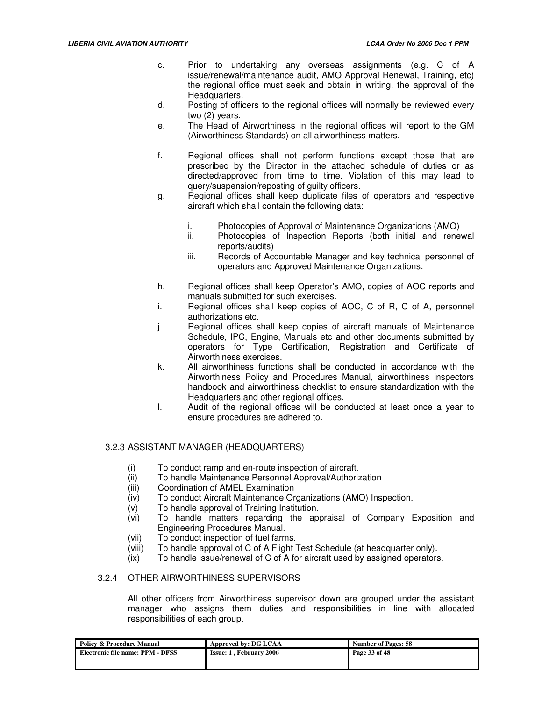- c. Prior to undertaking any overseas assignments (e.g. C of A issue/renewal/maintenance audit, AMO Approval Renewal, Training, etc) the regional office must seek and obtain in writing, the approval of the Headquarters.
- d. Posting of officers to the regional offices will normally be reviewed every two (2) years.
- e. The Head of Airworthiness in the regional offices will report to the GM (Airworthiness Standards) on all airworthiness matters.
- f. Regional offices shall not perform functions except those that are prescribed by the Director in the attached schedule of duties or as directed/approved from time to time. Violation of this may lead to query/suspension/reposting of guilty officers.
- g. Regional offices shall keep duplicate files of operators and respective aircraft which shall contain the following data:
	- i. Photocopies of Approval of Maintenance Organizations (AMO)
	- ii. Photocopies of Inspection Reports (both initial and renewal reports/audits)
	- iii. Records of Accountable Manager and key technical personnel of operators and Approved Maintenance Organizations.
- h. Regional offices shall keep Operator's AMO, copies of AOC reports and manuals submitted for such exercises.
- i. Regional offices shall keep copies of AOC, C of R, C of A, personnel authorizations etc.
- j. Regional offices shall keep copies of aircraft manuals of Maintenance Schedule, IPC, Engine, Manuals etc and other documents submitted by operators for Type Certification, Registration and Certificate of Airworthiness exercises.
- k. All airworthiness functions shall be conducted in accordance with the Airworthiness Policy and Procedures Manual, airworthiness inspectors handbook and airworthiness checklist to ensure standardization with the Headquarters and other regional offices.
- l. Audit of the regional offices will be conducted at least once a year to ensure procedures are adhered to.

# 3.2.3 ASSISTANT MANAGER (HEADQUARTERS)

- 
- (i) To conduct ramp and en-route inspection of aircraft.<br>(ii) To handle Maintenance Personnel Approval/Authoriz To handle Maintenance Personnel Approval/Authorization
- (iii) Coordination of AMEL Examination
- (iv) To conduct Aircraft Maintenance Organizations (AMO) Inspection.
- (v) To handle approval of Training Institution.
- (vi) To handle matters regarding the appraisal of Company Exposition and Engineering Procedures Manual.
- (vii) To conduct inspection of fuel farms.<br>(viii) To handle approval of C of A Flight
- To handle approval of C of A Flight Test Schedule (at headquarter only).
- (ix) To handle issue/renewal of C of A for aircraft used by assigned operators.

## 3.2.4 OTHER AIRWORTHINESS SUPERVISORS

All other officers from Airworthiness supervisor down are grouped under the assistant manager who assigns them duties and responsibilities in line with allocated responsibilities of each group.

| <b>Policy &amp; Procedure Manual</b> | Approved by: DG LCAA           | <b>Number of Pages: 58</b> |
|--------------------------------------|--------------------------------|----------------------------|
| Electronic file name: PPM - DFSS     | <b>Issue: 1. February 2006</b> | Page 33 of 48              |
|                                      |                                |                            |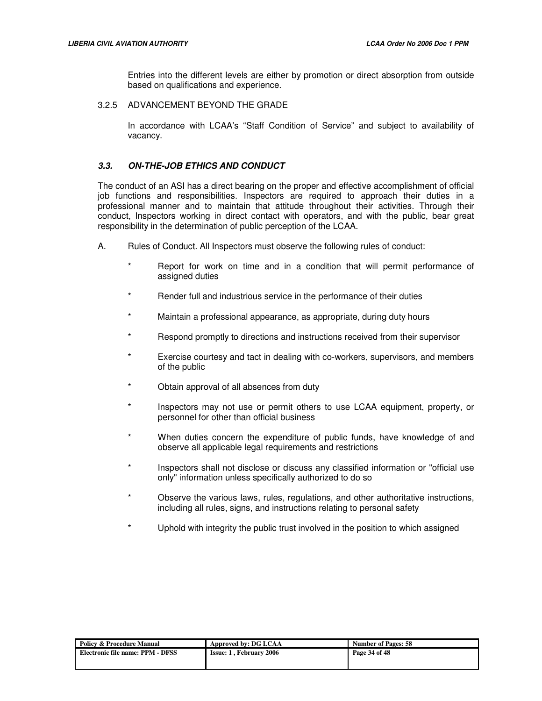Entries into the different levels are either by promotion or direct absorption from outside based on qualifications and experience.

3.2.5 ADVANCEMENT BEYOND THE GRADE

In accordance with LCAA's "Staff Condition of Service" and subject to availability of vacancy.

# **3.3. ON-THE-JOB ETHICS AND CONDUCT**

The conduct of an ASI has a direct bearing on the proper and effective accomplishment of official job functions and responsibilities. Inspectors are required to approach their duties in a professional manner and to maintain that attitude throughout their activities. Through their conduct, Inspectors working in direct contact with operators, and with the public, bear great responsibility in the determination of public perception of the LCAA.

- A. Rules of Conduct. All Inspectors must observe the following rules of conduct:
	- Report for work on time and in a condition that will permit performance of assigned duties
	- Render full and industrious service in the performance of their duties
	- Maintain a professional appearance, as appropriate, during duty hours
	- Respond promptly to directions and instructions received from their supervisor
	- Exercise courtesy and tact in dealing with co-workers, supervisors, and members of the public
	- Obtain approval of all absences from duty
	- Inspectors may not use or permit others to use LCAA equipment, property, or personnel for other than official business
	- When duties concern the expenditure of public funds, have knowledge of and observe all applicable legal requirements and restrictions
	- Inspectors shall not disclose or discuss any classified information or "official use only" information unless specifically authorized to do so
	- Observe the various laws, rules, regulations, and other authoritative instructions, including all rules, signs, and instructions relating to personal safety
	- Uphold with integrity the public trust involved in the position to which assigned

| <b>Policy &amp; Procedure Manual</b> | Approved by: DG LCAA           | <b>Number of Pages: 58</b> |  |
|--------------------------------------|--------------------------------|----------------------------|--|
| Electronic file name: PPM - DFSS     | <b>Issue: 1, February 2006</b> | Page 34 of 48              |  |
|                                      |                                |                            |  |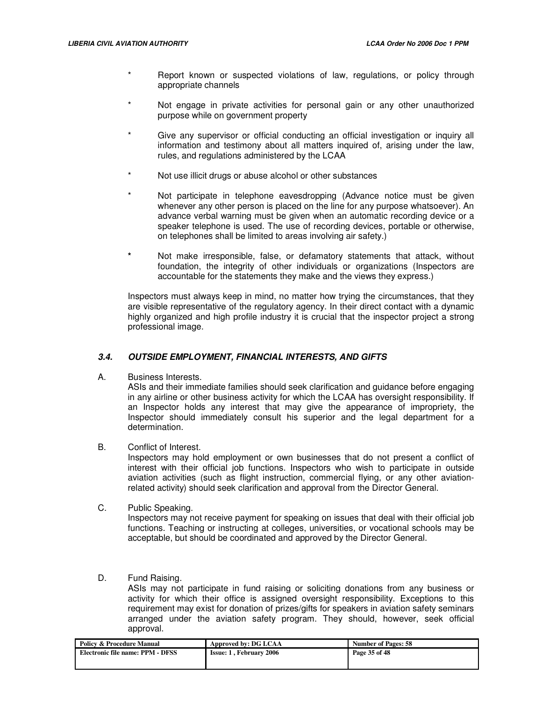- Report known or suspected violations of law, regulations, or policy through appropriate channels
- Not engage in private activities for personal gain or any other unauthorized purpose while on government property
- Give any supervisor or official conducting an official investigation or inquiry all information and testimony about all matters inquired of, arising under the law, rules, and regulations administered by the LCAA
- Not use illicit drugs or abuse alcohol or other substances
- Not participate in telephone eavesdropping (Advance notice must be given whenever any other person is placed on the line for any purpose whatsoever). An advance verbal warning must be given when an automatic recording device or a speaker telephone is used. The use of recording devices, portable or otherwise, on telephones shall be limited to areas involving air safety.)
- **\*** Not make irresponsible, false, or defamatory statements that attack, without foundation, the integrity of other individuals or organizations (Inspectors are accountable for the statements they make and the views they express.)

Inspectors must always keep in mind, no matter how trying the circumstances, that they are visible representative of the regulatory agency. In their direct contact with a dynamic highly organized and high profile industry it is crucial that the inspector project a strong professional image.

## **3.4. OUTSIDE EMPLOYMENT, FINANCIAL INTERESTS, AND GIFTS**

A. Business Interests.

ASIs and their immediate families should seek clarification and guidance before engaging in any airline or other business activity for which the LCAA has oversight responsibility. If an Inspector holds any interest that may give the appearance of impropriety, the Inspector should immediately consult his superior and the legal department for a determination.

B. Conflict of Interest.

Inspectors may hold employment or own businesses that do not present a conflict of interest with their official job functions. Inspectors who wish to participate in outside aviation activities (such as flight instruction, commercial flying, or any other aviationrelated activity) should seek clarification and approval from the Director General.

C. Public Speaking.

Inspectors may not receive payment for speaking on issues that deal with their official job functions. Teaching or instructing at colleges, universities, or vocational schools may be acceptable, but should be coordinated and approved by the Director General.

D. Fund Raising.

ASIs may not participate in fund raising or soliciting donations from any business or activity for which their office is assigned oversight responsibility. Exceptions to this requirement may exist for donation of prizes/gifts for speakers in aviation safety seminars arranged under the aviation safety program. They should, however, seek official approval.

| <b>Policy &amp; Procedure Manual</b> | Approved by: DG LCAA<br><b>Number of Pages: 58</b> |               |  |
|--------------------------------------|----------------------------------------------------|---------------|--|
| Electronic file name: PPM - DFSS     | <b>Issue: 1. February 2006</b>                     | Page 35 of 48 |  |
|                                      |                                                    |               |  |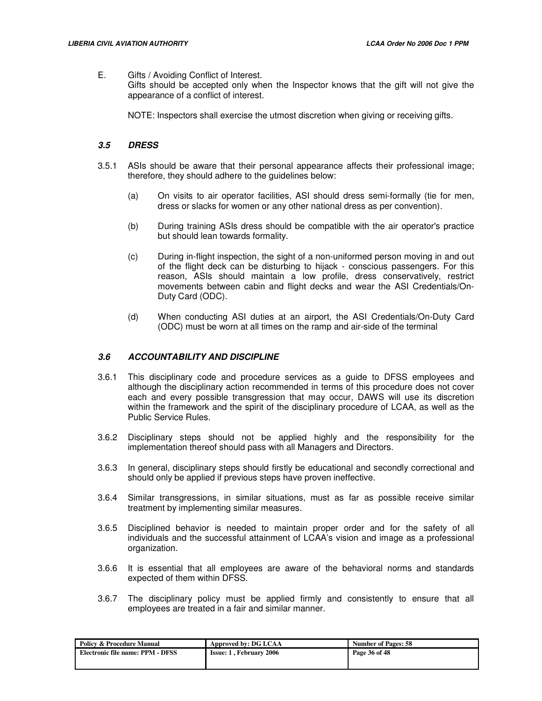E. Gifts / Avoiding Conflict of Interest.

Gifts should be accepted only when the Inspector knows that the gift will not give the appearance of a conflict of interest.

NOTE: Inspectors shall exercise the utmost discretion when giving or receiving gifts.

# **3.5 DRESS**

- 3.5.1 ASIs should be aware that their personal appearance affects their professional image; therefore, they should adhere to the guidelines below:
	- (a) On visits to air operator facilities, ASI should dress semi-formally (tie for men, dress or slacks for women or any other national dress as per convention).
	- (b) During training ASIs dress should be compatible with the air operator's practice but should lean towards formality.
	- (c) During in-flight inspection, the sight of a non-uniformed person moving in and out of the flight deck can be disturbing to hijack - conscious passengers. For this reason, ASIs should maintain a low profile, dress conservatively, restrict movements between cabin and flight decks and wear the ASI Credentials/On-Duty Card (ODC).
	- (d) When conducting ASI duties at an airport, the ASI Credentials/On-Duty Card (ODC) must be worn at all times on the ramp and air-side of the terminal

## **3.6 ACCOUNTABILITY AND DISCIPLINE**

- 3.6.1 This disciplinary code and procedure services as a guide to DFSS employees and although the disciplinary action recommended in terms of this procedure does not cover each and every possible transgression that may occur, DAWS will use its discretion within the framework and the spirit of the disciplinary procedure of LCAA, as well as the Public Service Rules.
- 3.6.2 Disciplinary steps should not be applied highly and the responsibility for the implementation thereof should pass with all Managers and Directors.
- 3.6.3 In general, disciplinary steps should firstly be educational and secondly correctional and should only be applied if previous steps have proven ineffective.
- 3.6.4 Similar transgressions, in similar situations, must as far as possible receive similar treatment by implementing similar measures.
- 3.6.5 Disciplined behavior is needed to maintain proper order and for the safety of all individuals and the successful attainment of LCAA's vision and image as a professional organization.
- 3.6.6 It is essential that all employees are aware of the behavioral norms and standards expected of them within DFSS.
- 3.6.7 The disciplinary policy must be applied firmly and consistently to ensure that all employees are treated in a fair and similar manner.

| <b>Policy &amp; Procedure Manual</b> | Approved by: DG LCAA           | <b>Number of Pages: 58</b> |  |
|--------------------------------------|--------------------------------|----------------------------|--|
| Electronic file name: PPM - DFSS     | <b>Issue: 1. February 2006</b> | Page 36 of 48              |  |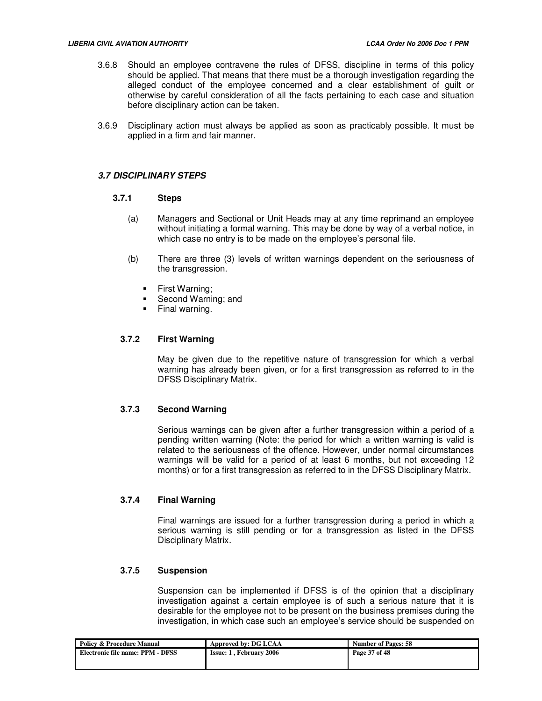- 3.6.8 Should an employee contravene the rules of DFSS, discipline in terms of this policy should be applied. That means that there must be a thorough investigation regarding the alleged conduct of the employee concerned and a clear establishment of guilt or otherwise by careful consideration of all the facts pertaining to each case and situation before disciplinary action can be taken.
- 3.6.9 Disciplinary action must always be applied as soon as practicably possible. It must be applied in a firm and fair manner.

#### **3.7 DISCIPLINARY STEPS**

#### **3.7.1 Steps**

- (a) Managers and Sectional or Unit Heads may at any time reprimand an employee without initiating a formal warning. This may be done by way of a verbal notice, in which case no entry is to be made on the employee's personal file.
- (b) There are three (3) levels of written warnings dependent on the seriousness of the transgression.
	- **First Warning;**
	- Second Warning; and
	- Final warning.

## **3.7.2 First Warning**

May be given due to the repetitive nature of transgression for which a verbal warning has already been given, or for a first transgression as referred to in the DFSS Disciplinary Matrix.

## **3.7.3 Second Warning**

Serious warnings can be given after a further transgression within a period of a pending written warning (Note: the period for which a written warning is valid is related to the seriousness of the offence. However, under normal circumstances warnings will be valid for a period of at least 6 months, but not exceeding 12 months) or for a first transgression as referred to in the DFSS Disciplinary Matrix.

## **3.7.4 Final Warning**

Final warnings are issued for a further transgression during a period in which a serious warning is still pending or for a transgression as listed in the DFSS Disciplinary Matrix.

## **3.7.5 Suspension**

Suspension can be implemented if DFSS is of the opinion that a disciplinary investigation against a certain employee is of such a serious nature that it is desirable for the employee not to be present on the business premises during the investigation, in which case such an employee's service should be suspended on

| <b>Policy &amp; Procedure Manual</b> | Approved by: DG LCAA           | <b>Number of Pages: 58</b> |  |
|--------------------------------------|--------------------------------|----------------------------|--|
| Electronic file name: PPM - DFSS     | <b>Issue: 1, February 2006</b> | Page 37 of 48              |  |
|                                      |                                |                            |  |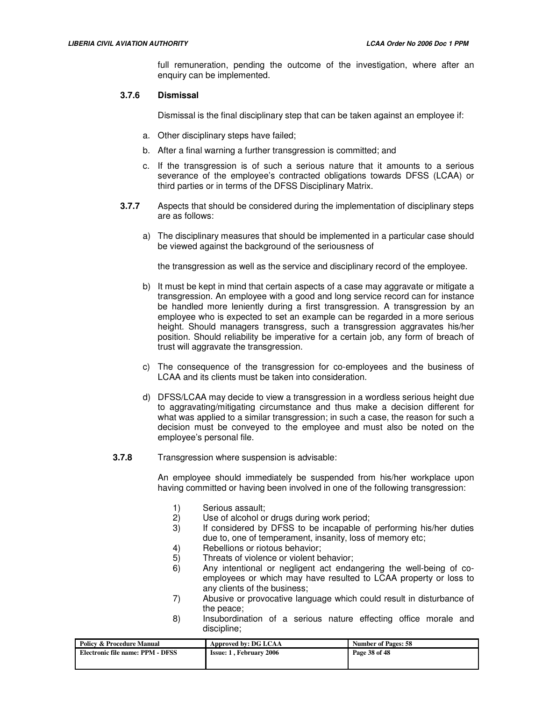full remuneration, pending the outcome of the investigation, where after an enquiry can be implemented.

## **3.7.6 Dismissal**

Dismissal is the final disciplinary step that can be taken against an employee if:

- a. Other disciplinary steps have failed;
- b. After a final warning a further transgression is committed; and
- c. If the transgression is of such a serious nature that it amounts to a serious severance of the employee's contracted obligations towards DFSS (LCAA) or third parties or in terms of the DFSS Disciplinary Matrix.
- **3.7.7** Aspects that should be considered during the implementation of disciplinary steps are as follows:
	- a) The disciplinary measures that should be implemented in a particular case should be viewed against the background of the seriousness of

the transgression as well as the service and disciplinary record of the employee.

- b) It must be kept in mind that certain aspects of a case may aggravate or mitigate a transgression. An employee with a good and long service record can for instance be handled more leniently during a first transgression. A transgression by an employee who is expected to set an example can be regarded in a more serious height. Should managers transgress, such a transgression aggravates his/her position. Should reliability be imperative for a certain job, any form of breach of trust will aggravate the transgression.
- c) The consequence of the transgression for co-employees and the business of LCAA and its clients must be taken into consideration.
- d) DFSS/LCAA may decide to view a transgression in a wordless serious height due to aggravating/mitigating circumstance and thus make a decision different for what was applied to a similar transgression; in such a case, the reason for such a decision must be conveyed to the employee and must also be noted on the employee's personal file.
- **3.7.8** Transgression where suspension is advisable:

An employee should immediately be suspended from his/her workplace upon having committed or having been involved in one of the following transgression:

- 1) Serious assault;
- 2) Use of alcohol or drugs during work period;
- 3) If considered by DFSS to be incapable of performing his/her duties due to, one of temperament, insanity, loss of memory etc;
- 4) Rebellions or riotous behavior;
- 5) Threats of violence or violent behavior;
- 6) Any intentional or negligent act endangering the well-being of coemployees or which may have resulted to LCAA property or loss to any clients of the business;
- 7) Abusive or provocative language which could result in disturbance of the peace;
- 8) Insubordination of a serious nature effecting office morale and discipline;

| <b>Policy &amp; Procedure Manual</b> | Approved by: DG LCAA           | <b>Number of Pages: 58</b> |  |
|--------------------------------------|--------------------------------|----------------------------|--|
| Electronic file name: PPM - DFSS     | <b>Issue: 1. February 2006</b> | Page 38 of 48              |  |
|                                      |                                |                            |  |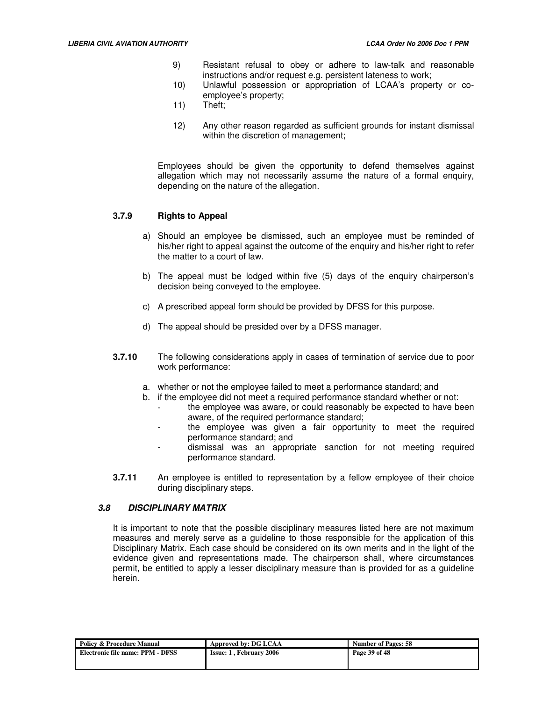- 9) Resistant refusal to obey or adhere to law-talk and reasonable instructions and/or request e.g. persistent lateness to work;
- 10) Unlawful possession or appropriation of LCAA's property or coemployee's property;
- 11) Theft;
- 12) Any other reason regarded as sufficient grounds for instant dismissal within the discretion of management;

Employees should be given the opportunity to defend themselves against allegation which may not necessarily assume the nature of a formal enquiry, depending on the nature of the allegation.

## **3.7.9 Rights to Appeal**

- a) Should an employee be dismissed, such an employee must be reminded of his/her right to appeal against the outcome of the enquiry and his/her right to refer the matter to a court of law.
- b) The appeal must be lodged within five (5) days of the enquiry chairperson's decision being conveyed to the employee.
- c) A prescribed appeal form should be provided by DFSS for this purpose.
- d) The appeal should be presided over by a DFSS manager.
- **3.7.10** The following considerations apply in cases of termination of service due to poor work performance:
	- a. whether or not the employee failed to meet a performance standard; and
	- b. if the employee did not meet a required performance standard whether or not: the employee was aware, or could reasonably be expected to have been aware, of the required performance standard;
		- the employee was given a fair opportunity to meet the required performance standard; and
		- dismissal was an appropriate sanction for not meeting required performance standard.
- **3.7.11** An employee is entitled to representation by a fellow employee of their choice during disciplinary steps.

## **3.8 DISCIPLINARY MATRIX**

It is important to note that the possible disciplinary measures listed here are not maximum measures and merely serve as a guideline to those responsible for the application of this Disciplinary Matrix. Each case should be considered on its own merits and in the light of the evidence given and representations made. The chairperson shall, where circumstances permit, be entitled to apply a lesser disciplinary measure than is provided for as a guideline herein.

| <b>Policy &amp; Procedure Manual</b> | Approved by: DG LCAA           | <b>Number of Pages: 58</b> |  |
|--------------------------------------|--------------------------------|----------------------------|--|
| Electronic file name: PPM - DFSS     | <b>Issue: 1, February 2006</b> | Page 39 of 48              |  |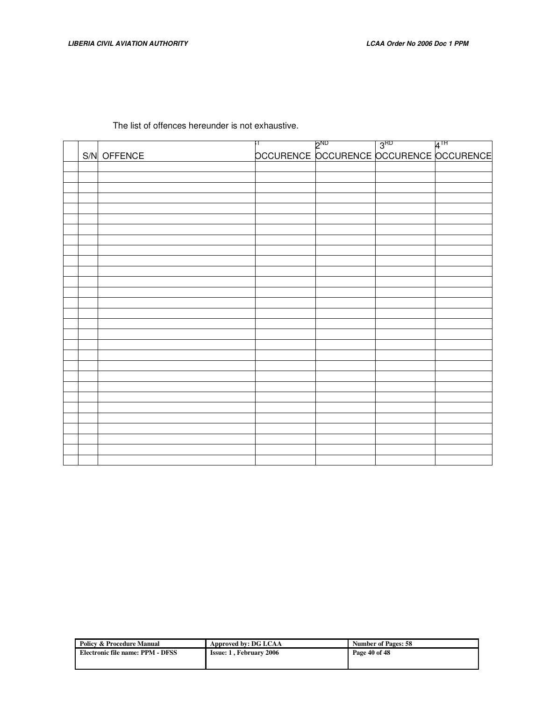The list of offences hereunder is not exhaustive.

|  |             | OCCURENCE OCCURENCE OCCURENCE |  |
|--|-------------|-------------------------------|--|
|  | S/N OFFENCE |                               |  |
|  |             |                               |  |
|  |             |                               |  |
|  |             |                               |  |
|  |             |                               |  |
|  |             |                               |  |
|  |             |                               |  |
|  |             |                               |  |
|  |             |                               |  |
|  |             |                               |  |
|  |             |                               |  |
|  |             |                               |  |
|  |             |                               |  |
|  |             |                               |  |
|  |             |                               |  |
|  |             |                               |  |
|  |             |                               |  |
|  |             |                               |  |
|  |             |                               |  |
|  |             |                               |  |
|  |             |                               |  |
|  |             |                               |  |
|  |             |                               |  |
|  |             |                               |  |
|  |             |                               |  |
|  |             |                               |  |
|  |             |                               |  |
|  |             |                               |  |
|  |             |                               |  |
|  |             |                               |  |

| <b>Policy &amp; Procedure Manual</b> | Approved by: DG LCAA           | <b>Number of Pages: 58</b> |  |
|--------------------------------------|--------------------------------|----------------------------|--|
| Electronic file name: PPM - DFSS     | <b>Issue: 1, February 2006</b> | Page 40 of 48              |  |
|                                      |                                |                            |  |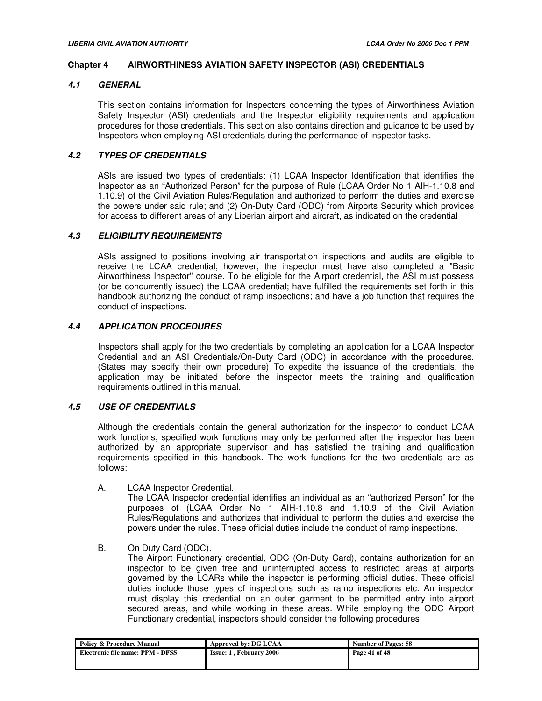#### **Chapter 4 AIRWORTHINESS AVIATION SAFETY INSPECTOR (ASI) CREDENTIALS**

## **4.1 GENERAL**

This section contains information for Inspectors concerning the types of Airworthiness Aviation Safety Inspector (ASI) credentials and the Inspector eligibility requirements and application procedures for those credentials. This section also contains direction and guidance to be used by Inspectors when employing ASI credentials during the performance of inspector tasks.

## **4.2 TYPES OF CREDENTIALS**

ASIs are issued two types of credentials: (1) LCAA Inspector Identification that identifies the Inspector as an "Authorized Person" for the purpose of Rule (LCAA Order No 1 AIH-1.10.8 and 1.10.9) of the Civil Aviation Rules/Regulation and authorized to perform the duties and exercise the powers under said rule; and (2) On-Duty Card (ODC) from Airports Security which provides for access to different areas of any Liberian airport and aircraft, as indicated on the credential

## **4.3 ELIGIBILITY REQUIREMENTS**

ASIs assigned to positions involving air transportation inspections and audits are eligible to receive the LCAA credential; however, the inspector must have also completed a "Basic Airworthiness Inspector" course. To be eligible for the Airport credential, the ASI must possess (or be concurrently issued) the LCAA credential; have fulfilled the requirements set forth in this handbook authorizing the conduct of ramp inspections; and have a job function that requires the conduct of inspections.

## **4.4 APPLICATION PROCEDURES**

Inspectors shall apply for the two credentials by completing an application for a LCAA Inspector Credential and an ASI Credentials/On-Duty Card (ODC) in accordance with the procedures. (States may specify their own procedure) To expedite the issuance of the credentials, the application may be initiated before the inspector meets the training and qualification requirements outlined in this manual.

## **4.5 USE OF CREDENTIALS**

Although the credentials contain the general authorization for the inspector to conduct LCAA work functions, specified work functions may only be performed after the inspector has been authorized by an appropriate supervisor and has satisfied the training and qualification requirements specified in this handbook. The work functions for the two credentials are as follows:

A. LCAA Inspector Credential.

The LCAA Inspector credential identifies an individual as an "authorized Person" for the purposes of (LCAA Order No 1 AIH-1.10.8 and 1.10.9 of the Civil Aviation Rules/Regulations and authorizes that individual to perform the duties and exercise the powers under the rules. These official duties include the conduct of ramp inspections.

#### B. On Duty Card (ODC).

The Airport Functionary credential, ODC (On-Duty Card), contains authorization for an inspector to be given free and uninterrupted access to restricted areas at airports governed by the LCARs while the inspector is performing official duties. These official duties include those types of inspections such as ramp inspections etc. An inspector must display this credential on an outer garment to be permitted entry into airport secured areas, and while working in these areas. While employing the ODC Airport Functionary credential, inspectors should consider the following procedures:

| <b>Policy &amp; Procedure Manual</b> | Approved by: DG LCAA           | <b>Number of Pages: 58</b> |
|--------------------------------------|--------------------------------|----------------------------|
| Electronic file name: PPM - DFSS     | <b>Issue: 1, February 2006</b> | Page 41 of 48              |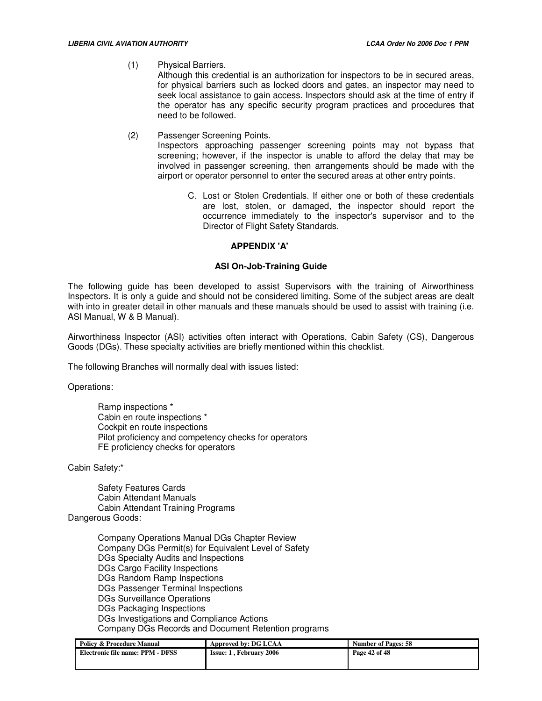(1) Physical Barriers.

Although this credential is an authorization for inspectors to be in secured areas, for physical barriers such as locked doors and gates, an inspector may need to seek local assistance to gain access. Inspectors should ask at the time of entry if the operator has any specific security program practices and procedures that need to be followed.

(2) Passenger Screening Points.

Inspectors approaching passenger screening points may not bypass that screening; however, if the inspector is unable to afford the delay that may be involved in passenger screening, then arrangements should be made with the airport or operator personnel to enter the secured areas at other entry points.

C. Lost or Stolen Credentials. If either one or both of these credentials are lost, stolen, or damaged, the inspector should report the occurrence immediately to the inspector's supervisor and to the Director of Flight Safety Standards.

## **APPENDIX 'A'**

## **ASI On-Job-Training Guide**

The following guide has been developed to assist Supervisors with the training of Airworthiness Inspectors. It is only a guide and should not be considered limiting. Some of the subject areas are dealt with into in greater detail in other manuals and these manuals should be used to assist with training (i.e. ASI Manual, W & B Manual).

Airworthiness Inspector (ASI) activities often interact with Operations, Cabin Safety (CS), Dangerous Goods (DGs). These specialty activities are briefly mentioned within this checklist.

The following Branches will normally deal with issues listed:

Operations:

Ramp inspections \* Cabin en route inspections \* Cockpit en route inspections Pilot proficiency and competency checks for operators FE proficiency checks for operators

Cabin Safety:\*

Safety Features Cards Cabin Attendant Manuals Cabin Attendant Training Programs Dangerous Goods:

> Company Operations Manual DGs Chapter Review Company DGs Permit(s) for Equivalent Level of Safety DGs Specialty Audits and Inspections DGs Cargo Facility Inspections DGs Random Ramp Inspections DGs Passenger Terminal Inspections DGs Surveillance Operations DGs Packaging Inspections DGs Investigations and Compliance Actions Company DGs Records and Document Retention programs

| <b>Policy &amp; Procedure Manual</b> | Approved by: DG LCAA           | <b>Number of Pages: 58</b> |
|--------------------------------------|--------------------------------|----------------------------|
| Electronic file name: PPM - DFSS     | <b>Issue: 1. February 2006</b> | Page 42 of 48              |
|                                      |                                |                            |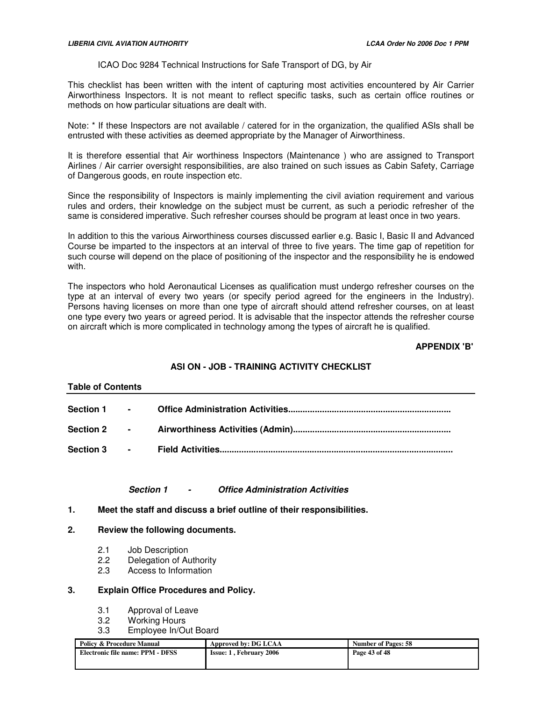## ICAO Doc 9284 Technical Instructions for Safe Transport of DG, by Air

This checklist has been written with the intent of capturing most activities encountered by Air Carrier Airworthiness Inspectors. It is not meant to reflect specific tasks, such as certain office routines or methods on how particular situations are dealt with.

Note: \* If these Inspectors are not available / catered for in the organization, the qualified ASIs shall be entrusted with these activities as deemed appropriate by the Manager of Airworthiness.

It is therefore essential that Air worthiness Inspectors (Maintenance ) who are assigned to Transport Airlines / Air carrier oversight responsibilities, are also trained on such issues as Cabin Safety, Carriage of Dangerous goods, en route inspection etc.

Since the responsibility of Inspectors is mainly implementing the civil aviation requirement and various rules and orders, their knowledge on the subject must be current, as such a periodic refresher of the same is considered imperative. Such refresher courses should be program at least once in two years.

In addition to this the various Airworthiness courses discussed earlier e.g. Basic I, Basic II and Advanced Course be imparted to the inspectors at an interval of three to five years. The time gap of repetition for such course will depend on the place of positioning of the inspector and the responsibility he is endowed with.

The inspectors who hold Aeronautical Licenses as qualification must undergo refresher courses on the type at an interval of every two years (or specify period agreed for the engineers in the Industry). Persons having licenses on more than one type of aircraft should attend refresher courses, on at least one type every two years or agreed period. It is advisable that the inspector attends the refresher course on aircraft which is more complicated in technology among the types of aircraft he is qualified.

#### **APPENDIX 'B'**

# **ASI ON - JOB - TRAINING ACTIVITY CHECKLIST**

#### **Table of Contents**

| Section 1 -      |                          |  |
|------------------|--------------------------|--|
| Section 2 -      |                          |  |
| <b>Section 3</b> | <b>Contract Contract</b> |  |

#### **Section 1 - Office Administration Activities**

**1. Meet the staff and discuss a brief outline of their responsibilities.** 

#### **2. Review the following documents.**

- 2.1 Job Description<br>2.2 Delegation of Au
- Delegation of Authority
- 2.3 Access to Information

#### **3. Explain Office Procedures and Policy.**

- 3.1 Approval of Leave
- 3.2 Working Hours
- 3.3 Employee In/Out Board

| <b>Policy &amp; Procedure Manual</b> | Approved by: DG LCAA           | <b>Number of Pages: 58</b> |
|--------------------------------------|--------------------------------|----------------------------|
| Electronic file name: PPM - DFSS     | <b>Issue: 1, February 2006</b> | Page 43 of 48              |
|                                      |                                |                            |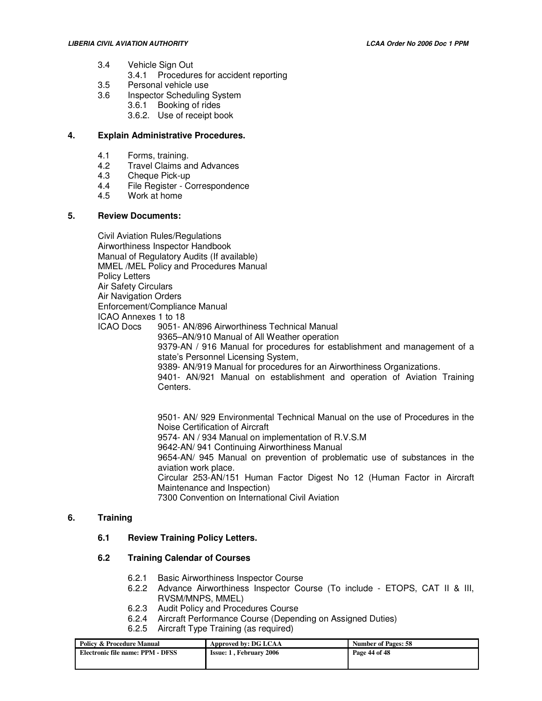- 3.4 Vehicle Sign Out
	- 3.4.1 Procedures for accident reporting
- 3.5 Personal vehicle use
- 3.6 Inspector Scheduling System
	- 3.6.1 Booking of rides
	- 3.6.2. Use of receipt book

## **4. Explain Administrative Procedures.**

- 4.1 Forms, training.<br>4.2 Travel Claims ar
- 4.2 Travel Claims and Advances<br>4.3 Cheque Pick-up
- 4.3 Cheque Pick-up<br>4.4 File Register Co
- File Register Correspondence
- 4.5 Work at home

#### **5. Review Documents:**

Civil Aviation Rules/Regulations Airworthiness Inspector Handbook Manual of Regulatory Audits (If available) MMEL /MEL Policy and Procedures Manual Policy Letters Air Safety Circulars Air Navigation Orders Enforcement/Compliance Manual ICAO Annexes 1 to 18 ICAO Docs 9051- AN/896 Airworthiness Technical Manual 9365–AN/910 Manual of All Weather operation 9379-AN / 916 Manual for procedures for establishment and management of a state's Personnel Licensing System, 9389- AN/919 Manual for procedures for an Airworthiness Organizations. 9401- AN/921 Manual on establishment and operation of Aviation Training Centers.

> 9501- AN/ 929 Environmental Technical Manual on the use of Procedures in the Noise Certification of Aircraft 9574- AN / 934 Manual on implementation of R.V.S.M 9642-AN/ 941 Continuing Airworthiness Manual 9654-AN/ 945 Manual on prevention of problematic use of substances in the aviation work place. Circular 253-AN/151 Human Factor Digest No 12 (Human Factor in Aircraft Maintenance and Inspection) 7300 Convention on International Civil Aviation

# **6. Training**

## **6.1 Review Training Policy Letters.**

## **6.2 Training Calendar of Courses**

- 6.2.1 Basic Airworthiness Inspector Course
- 6.2.2 Advance Airworthiness Inspector Course (To include ETOPS, CAT II & III, RVSM/MNPS, MMEL)
- 6.2.3 Audit Policy and Procedures Course
- 6.2.4 Aircraft Performance Course (Depending on Assigned Duties)
- 6.2.5 Aircraft Type Training (as required)

| <b>Policy &amp; Procedure Manual</b> | Approved by: DG LCAA           | <b>Number of Pages: 58</b> |
|--------------------------------------|--------------------------------|----------------------------|
| Electronic file name: PPM - DFSS     | <b>Issue: 1. February 2006</b> | Page 44 of 48              |
|                                      |                                |                            |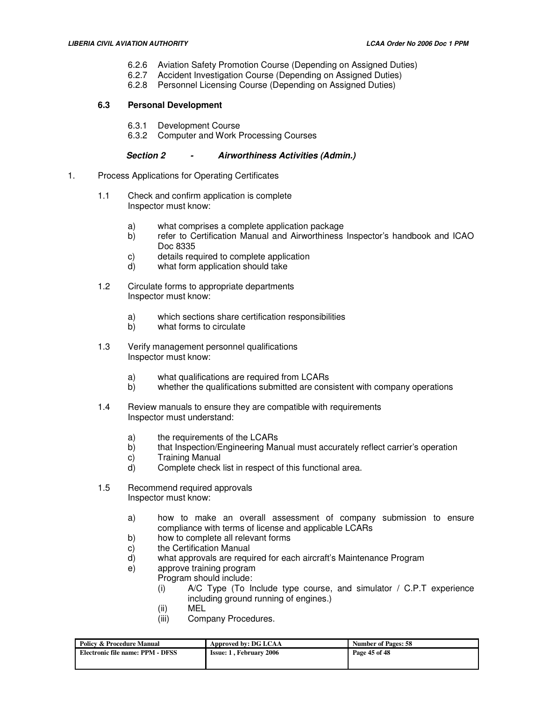- 6.2.6 Aviation Safety Promotion Course (Depending on Assigned Duties)
- 6.2.7 Accident Investigation Course (Depending on Assigned Duties)
- 6.2.8 Personnel Licensing Course (Depending on Assigned Duties)

## **6.3 Personal Development**

- 6.3.1 Development Course
- 6.3.2 Computer and Work Processing Courses

## **Section 2 - Airworthiness Activities (Admin.)**

- 1. Process Applications for Operating Certificates
	- 1.1 Check and confirm application is complete Inspector must know:
		- a) what comprises a complete application package
		- b) refer to Certification Manual and Airworthiness Inspector's handbook and ICAO Doc 8335
		- c) details required to complete application
		- d) what form application should take
	- 1.2 Circulate forms to appropriate departments Inspector must know:
		- a) which sections share certification responsibilities
		- b) what forms to circulate
	- 1.3 Verify management personnel qualifications Inspector must know:
		- a) what qualifications are required from LCARs
		- b) whether the qualifications submitted are consistent with company operations
	- 1.4 Review manuals to ensure they are compatible with requirements Inspector must understand:
		- a) the requirements of the LCARs
		- b) that Inspection/Engineering Manual must accurately reflect carrier's operation
		- c) Training Manual
		- d) Complete check list in respect of this functional area.
	- 1.5 Recommend required approvals Inspector must know:
		- a) how to make an overall assessment of company submission to ensure compliance with terms of license and applicable LCARs
		- b) how to complete all relevant forms
		- c) the Certification Manual
		- d) what approvals are required for each aircraft's Maintenance Program
		- e) approve training program
		- Program should include:
			- (i)  $A/C$  Type (To Include type course, and simulator / C.P.T experience including ground running of engines.)
			- (ii) MEL
			- (iii) Company Procedures.

| <b>Policy &amp; Procedure Manual</b> | Approved by: DG LCAA           | <b>Number of Pages: 58</b> |
|--------------------------------------|--------------------------------|----------------------------|
| Electronic file name: PPM - DFSS     | <b>Issue: 1. February 2006</b> | Page 45 of 48              |
|                                      |                                |                            |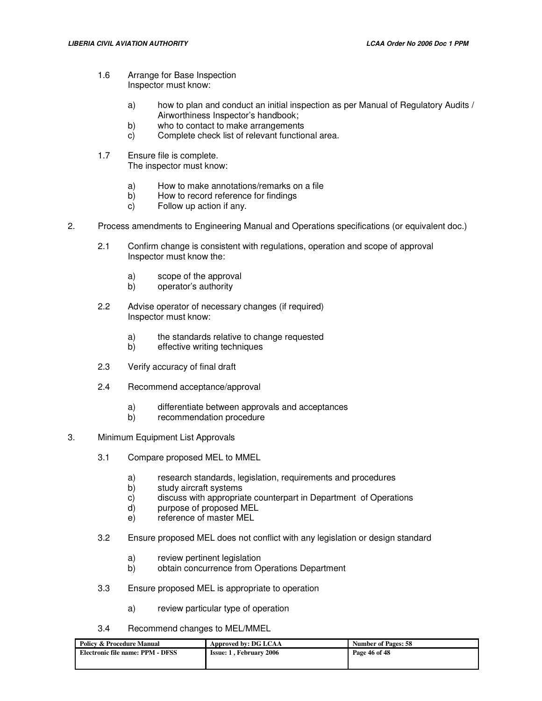- 1.6 Arrange for Base Inspection Inspector must know:
	- a) how to plan and conduct an initial inspection as per Manual of Regulatory Audits / Airworthiness Inspector's handbook;
	- b) who to contact to make arrangements
	- c) Complete check list of relevant functional area.
- 1.7 Ensure file is complete. The inspector must know:
	- a) How to make annotations/remarks on a file
	- b) How to record reference for findings
	- c) Follow up action if any.
- 2. Process amendments to Engineering Manual and Operations specifications (or equivalent doc.)
	- 2.1 Confirm change is consistent with regulations, operation and scope of approval Inspector must know the:
		- a) scope of the approval
		- b) operator's authority
	- 2.2 Advise operator of necessary changes (if required) Inspector must know:
		- a) the standards relative to change requested<br>b) effective writing techniques
		- effective writing techniques
	- 2.3 Verify accuracy of final draft
	- 2.4 Recommend acceptance/approval
		- a) differentiate between approvals and acceptances
		- recommendation procedure
- 3. Minimum Equipment List Approvals
	- 3.1 Compare proposed MEL to MMEL
		- a) research standards, legislation, requirements and procedures<br>b) study aircraft systems
		- study aircraft systems
		- c) discuss with appropriate counterpart in Department of Operations
		- d) purpose of proposed MEL
		- e) reference of master MEL
	- 3.2 Ensure proposed MEL does not conflict with any legislation or design standard
		- a) review pertinent legislation
		- b) obtain concurrence from Operations Department
	- 3.3 Ensure proposed MEL is appropriate to operation
		- a) review particular type of operation
	- 3.4 Recommend changes to MEL/MMEL

| <b>Policy &amp; Procedure Manual</b> | Approved by: DG LCAA           | <b>Number of Pages: 58</b> |
|--------------------------------------|--------------------------------|----------------------------|
| Electronic file name: PPM - DFSS     | <b>Issue: 1. February 2006</b> | Page 46 of 48              |
|                                      |                                |                            |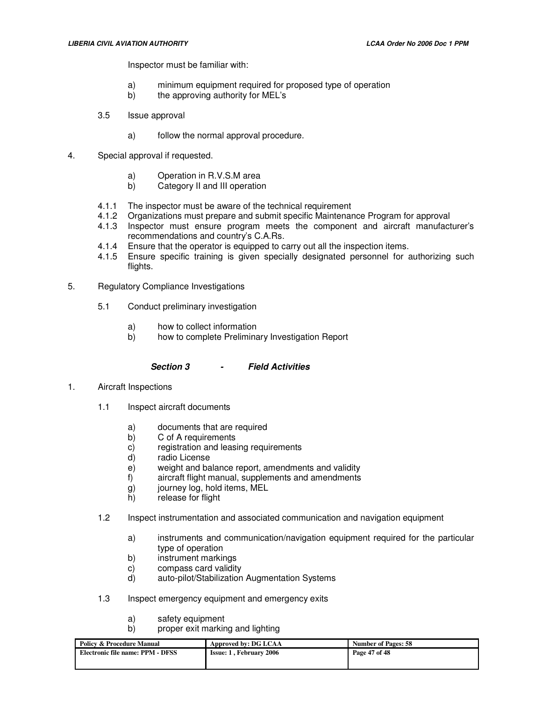Inspector must be familiar with:

- a) minimum equipment required for proposed type of operation
- b) the approving authority for MEL's
- 3.5 Issue approval
	- a) follow the normal approval procedure.
- 4. Special approval if requested.
	- a) Operation in R.V.S.M area<br>b) Category II and III operation
	- b) Category II and III operation
	- 4.1.1 The inspector must be aware of the technical requirement<br>4.1.2 Organizations must prepare and submit specific Maintenar
	- 4.1.2 Organizations must prepare and submit specific Maintenance Program for approval
	- 4.1.3 Inspector must ensure program meets the component and aircraft manufacturer's recommendations and country's C.A.Rs.
	- 4.1.4 Ensure that the operator is equipped to carry out all the inspection items.
	- 4.1.5 Ensure specific training is given specially designated personnel for authorizing such flights.
- 5. Regulatory Compliance Investigations
	- 5.1 Conduct preliminary investigation
		- a) how to collect information
		- b) how to complete Preliminary Investigation Report
			- **Section 3 Field Activities**
- 1. Aircraft Inspections
	- 1.1 Inspect aircraft documents
		- a) documents that are required
		- b) C of A requirements
		- c) registration and leasing requirements
		- d) radio License
		- e) weight and balance report, amendments and validity<br>f) aircraft flight manual, supplements and amendments
		- aircraft flight manual, supplements and amendments
		- g) journey log, hold items, MEL
		- h) release for flight
	- 1.2 Inspect instrumentation and associated communication and navigation equipment
		- a) instruments and communication/navigation equipment required for the particular type of operation
		- b) instrument markings
		- c) compass card validity
		- d) auto-pilot/Stabilization Augmentation Systems
	- 1.3 Inspect emergency equipment and emergency exits
		- a) safety equipment
		- b) proper exit marking and lighting

| <b>Policy &amp; Procedure Manual</b> | Approved by: DG LCAA           | <b>Number of Pages: 58</b> |
|--------------------------------------|--------------------------------|----------------------------|
| Electronic file name: PPM - DFSS     | <b>Issue: 1. February 2006</b> | Page 47 of 48              |
|                                      |                                |                            |